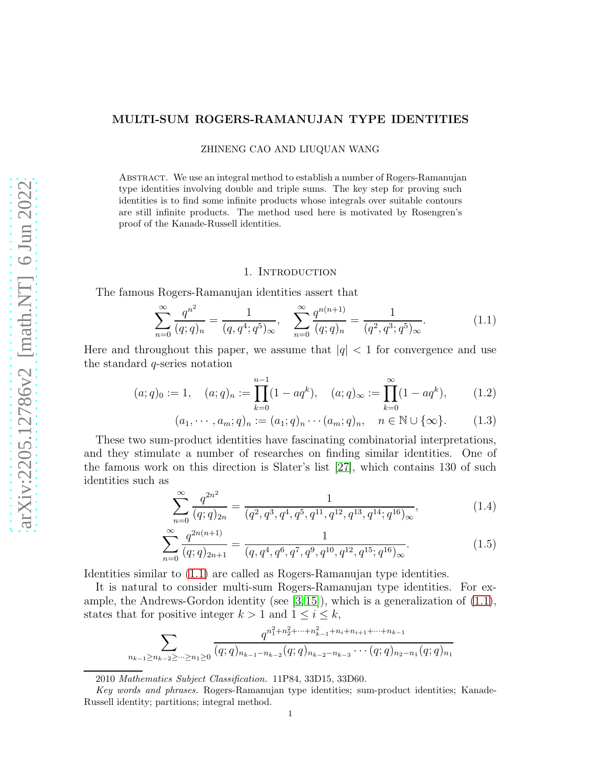#### MULTI-SUM ROGERS-RAMANUJAN TYPE IDENTITIES

ZHINENG CAO AND LIUQUAN WANG

Abstract. We use an integral method to establish a number of Rogers-Ramanujan type identities involving double and triple sums. The key step for proving such identities is to find some infinite products whose integrals over suitable contours are still infinite products. The method used here is motivated by Rosengren's proof of the Kanade-Russell identities.

### <span id="page-0-0"></span>1. INTRODUCTION

The famous Rogers-Ramanujan identities assert that

$$
\sum_{n=0}^{\infty} \frac{q^{n^2}}{(q;q)_n} = \frac{1}{(q,q^4;q^5)_{\infty}}, \quad \sum_{n=0}^{\infty} \frac{q^{n(n+1)}}{(q;q)_n} = \frac{1}{(q^2,q^3;q^5)_{\infty}}.
$$
(1.1)

Here and throughout this paper, we assume that  $|q| < 1$  for convergence and use the standard q-series notation

$$
(a;q)_0 := 1, \quad (a;q)_n := \prod_{k=0}^{n-1} (1 - aq^k), \quad (a;q)_{\infty} := \prod_{k=0}^{\infty} (1 - aq^k), \quad (1.2)
$$

$$
(a_1, \cdots, a_m; q)_n := (a_1; q)_n \cdots (a_m; q)_n, \quad n \in \mathbb{N} \cup \{\infty\}. \tag{1.3}
$$

These two sum-product identities have fascinating combinatorial interpretations, and they stimulate a number of researches on finding similar identities. One of the famous work on this direction is Slater's list [\[27\]](#page-23-0), which contains 130 of such identities such as

$$
\sum_{n=0}^{\infty} \frac{q^{2n^2}}{(q;q)_{2n}} = \frac{1}{(q^2,q^3,q^4,q^5,q^{11},q^{12},q^{13},q^{14};q^{16})_{\infty}},
$$
\n(1.4)

$$
\sum_{n=0}^{\infty} \frac{q^{2n(n+1)}}{(q;q)_{2n+1}} = \frac{1}{(q,q^4,q^6,q^7,q^9,q^{10},q^{12},q^{15};q^{16})_{\infty}}.
$$
(1.5)

Identities similar to [\(1.1\)](#page-0-0) are called as Rogers-Ramanujan type identities.

It is natural to consider multi-sum Rogers-Ramanujan type identities. For example, the Andrews-Gordon identity (see  $[3,15]$  $[3,15]$ ), which is a generalization of  $(1.1)$ , states that for positive integer  $k > 1$  and  $1 \leq i \leq k$ ,

$$
\sum_{n_{k-1}\ge n_{k-2}\ge\cdots\ge n_1\ge 0} \frac{q^{n_1^2+n_2^2+\cdots+n_{k-1}^2+n_i+n_{i+1}+\cdots+n_{k-1}}}{(q;q)_{n_{k-1}-n_{k-2}}(q;q)_{n_{k-2}-n_{k-3}}\cdots(q;q)_{n_2-n_1}(q;q)_{n_1}}
$$

<sup>2010</sup> Mathematics Subject Classification. 11P84, 33D15, 33D60.

Key words and phrases. Rogers-Ramanujan type identities; sum-product identities; Kanade-Russell identity; partitions; integral method.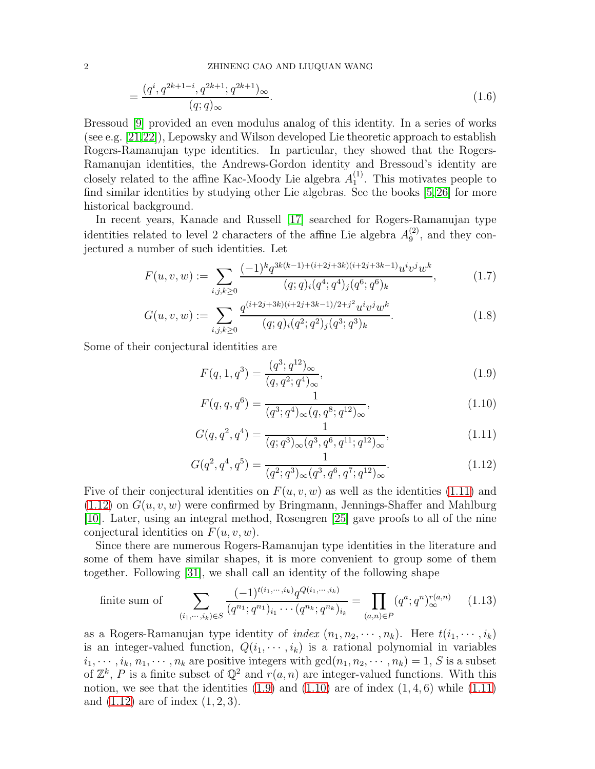2 ZHINENG CAO AND LIUQUAN WANG

$$
=\frac{(q^i, q^{2k+1-i}, q^{2k+1}; q^{2k+1})_{\infty}}{(q;q)_{\infty}}.
$$
\n(1.6)

Bressoud [\[9\]](#page-22-2) provided an even modulus analog of this identity. In a series of works (see e.g. [\[21,](#page-22-3)[22\]](#page-23-1)), Lepowsky and Wilson developed Lie theoretic approach to establish Rogers-Ramanujan type identities. In particular, they showed that the Rogers-Ramanujan identities, the Andrews-Gordon identity and Bressoud's identity are closely related to the affine Kac-Moody Lie algebra  $A_1^{(1)}$  $_1^{(1)}$ . This motivates people to find similar identities by studying other Lie algebras. See the books [\[5,](#page-22-4)[26\]](#page-23-2) for more historical background.

In recent years, Kanade and Russell [\[17\]](#page-22-5) searched for Rogers-Ramanujan type identities related to level 2 characters of the affine Lie algebra  $A_9^{(2)}$  $_9^{(2)}$ , and they conjectured a number of such identities. Let

$$
F(u, v, w) := \sum_{i,j,k \ge 0} \frac{(-1)^k q^{3k(k-1)+(i+2j+3k)(i+2j+3k-1)} u^i v^j w^k}{(q;q)_i (q^4;q^4)_j (q^6;q^6)_k},
$$
(1.7)

$$
G(u, v, w) := \sum_{i,j,k \ge 0} \frac{q^{(i+2j+3k)(i+2j+3k-1)/2+j^2} u^i v^j w^k}{(q;q)_i (q^2;q^2)_j (q^3;q^3)_k}.
$$
 (1.8)

Some of their conjectural identities are

<span id="page-1-2"></span>
$$
F(q, 1, q^3) = \frac{(q^3; q^{12})_{\infty}}{(q, q^2; q^4)_{\infty}},
$$
\n(1.9)

<span id="page-1-3"></span><span id="page-1-0"></span>
$$
F(q, q, q^6) = \frac{1}{(q^3; q^4)_{\infty}(q, q^8; q^{12})_{\infty}},
$$
\n(1.10)

<span id="page-1-1"></span>
$$
G(q, q^2, q^4) = \frac{1}{(q; q^3)_{\infty}(q^3, q^6, q^{11}; q^{12})_{\infty}},
$$
\n(1.11)

$$
G(q^2, q^4, q^5) = \frac{1}{(q^2; q^3)_{\infty}(q^3, q^6, q^7; q^{12})_{\infty}}.
$$
\n(1.12)

Five of their conjectural identities on  $F(u, v, w)$  as well as the identities [\(1.11\)](#page-1-0) and  $(1.12)$  on  $G(u, v, w)$  were confirmed by Bringmann, Jennings-Shaffer and Mahlburg [\[10\]](#page-22-6). Later, using an integral method, Rosengren [\[25\]](#page-23-3) gave proofs to all of the nine conjectural identities on  $F(u, v, w)$ .

Since there are numerous Rogers-Ramanujan type identities in the literature and some of them have similar shapes, it is more convenient to group some of them together. Following [\[31\]](#page-23-4), we shall call an identity of the following shape

finite sum of 
$$
\sum_{(i_1,\dots,i_k)\in S} \frac{(-1)^{t(i_1,\dots,i_k)} q^{Q(i_1,\dots,i_k)}}{(q^{n_1};q^{n_1})_{i_1}\cdots(q^{n_k};q^{n_k})_{i_k}} = \prod_{(a,n)\in P} (q^a;q^n)_{\infty}^{r(a,n)} \qquad (1.13)
$$

as a Rogers-Ramanujan type identity of index  $(n_1, n_2, \dots, n_k)$ . Here  $t(i_1, \dots, i_k)$ is an integer-valued function,  $Q(i_1, \dots, i_k)$  is a rational polynomial in variables  $i_1, \dots, i_k, n_1, \dots, n_k$  are positive integers with  $gcd(n_1, n_2, \dots, n_k) = 1, S$  is a subset of  $\mathbb{Z}^k$ , P is a finite subset of  $\mathbb{Q}^2$  and  $r(a, n)$  are integer-valued functions. With this notion, we see that the identities  $(1.9)$  and  $(1.10)$  are of index  $(1, 4, 6)$  while  $(1.11)$ and  $(1.12)$  are of index  $(1, 2, 3)$ .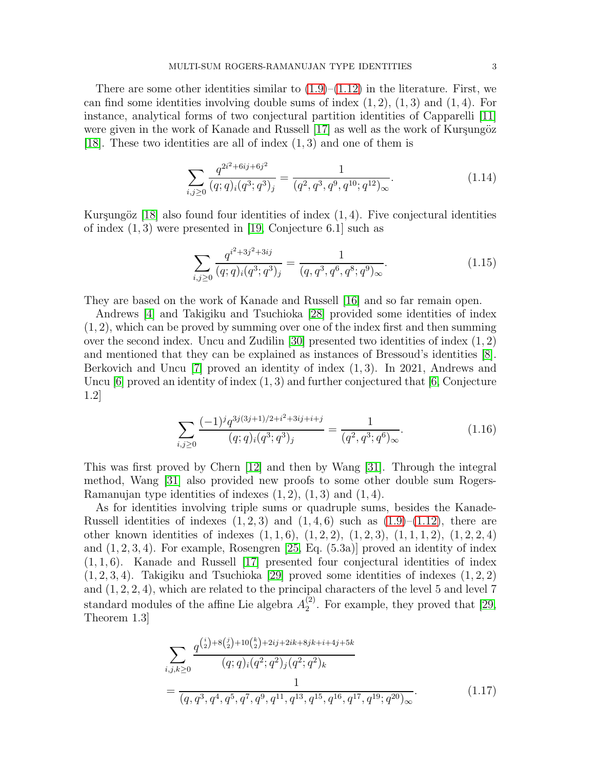There are some other identities similar to  $(1.9)$ – $(1.12)$  in the literature. First, we can find some identities involving double sums of index  $(1, 2)$ ,  $(1, 3)$  and  $(1, 4)$ . For instance, analytical forms of two conjectural partition identities of Capparelli [\[11\]](#page-22-7) were given in the work of Kanade and Russell  $[17]$  as well as the work of Kurşungöz [\[18\]](#page-22-8). These two identities are all of index  $(1, 3)$  and one of them is

$$
\sum_{i,j\geq 0} \frac{q^{2i^2 + 6ij + 6j^2}}{(q;q)_i (q^3;q^3)_j} = \frac{1}{(q^2,q^3,q^9,q^{10};q^{12})_\infty}.
$$
\n(1.14)

Kurşungöz [\[18\]](#page-22-8) also found four identities of index  $(1, 4)$ . Five conjectural identities of index  $(1, 3)$  were presented in [\[19,](#page-22-9) Conjecture 6.1] such as

$$
\sum_{i,j\geq 0} \frac{q^{i^2+3j^2+3ij}}{(q;q)_i(q^3;q^3)_j} = \frac{1}{(q,q^3,q^6,q^8;q^9)_{\infty}}.\tag{1.15}
$$

They are based on the work of Kanade and Russell [\[16\]](#page-22-10) and so far remain open.

Andrews [\[4\]](#page-22-11) and Takigiku and Tsuchioka [\[28\]](#page-23-5) provided some identities of index  $(1, 2)$ , which can be proved by summing over one of the index first and then summing over the second index. Uncu and Zudilin [\[30\]](#page-23-6) presented two identities of index (1, 2) and mentioned that they can be explained as instances of Bressoud's identities [\[8\]](#page-22-12). Berkovich and Uncu [\[7\]](#page-22-13) proved an identity of index (1, 3). In 2021, Andrews and Uncu  $[6]$  proved an identity of index  $(1, 3)$  and further conjectured that  $[6,$  Conjecture 1.2]

$$
\sum_{i,j\geq 0} \frac{(-1)^j q^{3j(3j+1)/2+i^2+3ij+i+j}}{(q;q)_i (q^3;q^3)_j} = \frac{1}{(q^2,q^3;q^6)_{\infty}}.\tag{1.16}
$$

This was first proved by Chern [\[12\]](#page-22-15) and then by Wang [\[31\]](#page-23-4). Through the integral method, Wang [\[31\]](#page-23-4) also provided new proofs to some other double sum Rogers-Ramanujan type identities of indexes  $(1, 2)$ ,  $(1, 3)$  and  $(1, 4)$ .

As for identities involving triple sums or quadruple sums, besides the Kanade-Russell identities of indexes  $(1, 2, 3)$  and  $(1, 4, 6)$  such as  $(1.9)$ – $(1.12)$ , there are other known identities of indexes  $(1, 1, 6)$ ,  $(1, 2, 2)$ ,  $(1, 2, 3)$ ,  $(1, 1, 1, 2)$ ,  $(1, 2, 2, 4)$ and  $(1, 2, 3, 4)$ . For example, Rosengren [\[25,](#page-23-3) Eq.  $(5.3a)$ ] proved an identity of index  $(1, 1, 6)$ . Kanade and Russell [\[17\]](#page-22-5) presented four conjectural identities of index  $(1, 2, 3, 4)$ . Takigiku and Tsuchioka [\[29\]](#page-23-7) proved some identities of indexes  $(1, 2, 2)$ and (1, 2, 2, 4), which are related to the principal characters of the level 5 and level 7 standard modules of the affine Lie algebra  $A_2^{(2)}$  $2<sup>(2)</sup>$ . For example, they proved that [\[29,](#page-23-7) Theorem 1.3]

$$
\sum_{i,j,k\geq 0} \frac{q^{\binom{i}{2}+8\binom{j}{2}+10\binom{k}{2}+2ij+2ik+8jk+i+4j+5k}}{(q;q)_i(q^2;q^2)_j(q^2;q^2)_k}
$$
\n
$$
=\frac{1}{(q,q^3,q^4,q^5,q^7,q^9,q^{11},q^{13},q^{15},q^{16},q^{17},q^{19};q^{20})_{\infty}}.\tag{1.17}
$$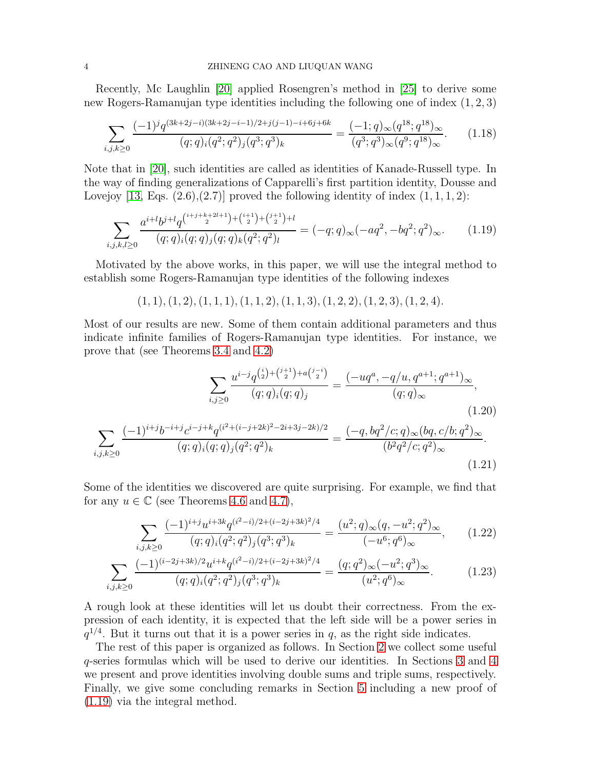Recently, Mc Laughlin [\[20\]](#page-22-16) applied Rosengren's method in [\[25\]](#page-23-3) to derive some new Rogers-Ramanujan type identities including the following one of index (1, 2, 3)

$$
\sum_{i,j,k\geq 0} \frac{(-1)^j q^{(3k+2j-i)(3k+2j-i-1)/2+j(j-1)-i+6j+6k}}{(q;q)_i (q^2;q^2)_j (q^3;q^3)_k} = \frac{(-1;q)_\infty (q^{18};q^{18})_\infty}{(q^3;q^3)_\infty (q^9;q^{18})_\infty}.\tag{1.18}
$$

Note that in [\[20\]](#page-22-16), such identities are called as identities of Kanade-Russell type. In the way of finding generalizations of Capparelli's first partition identity, Dousse and Lovejoy [\[13,](#page-22-17) Eqs.  $(2.6),(2.7)$ ] proved the following identity of index  $(1,1,1,2)$ :

$$
\sum_{i,j,k,l\geq 0} \frac{a^{i+l}b^{j+l}q^{\binom{i+j+k+2l+1}{2}+\binom{i+1}{2}+\binom{j+1}{2}+l}}{(q;q)_i(q;q)_j(q;q)_k(q^2;q^2)_l} = (-q;q)_{\infty}(-aq^2, -bq^2; q^2)_{\infty}.\tag{1.19}
$$

Motivated by the above works, in this paper, we will use the integral method to establish some Rogers-Ramanujan type identities of the following indexes

 $(1, 1), (1, 2), (1, 1, 1), (1, 1, 2), (1, 1, 3), (1, 2, 2), (1, 2, 3), (1, 2, 4).$ 

Most of our results are new. Some of them contain additional parameters and thus indicate infinite families of Rogers-Ramanujan type identities. For instance, we prove that (see Theorems [3.4](#page-8-0) and [4.2\)](#page-13-0)

$$
\sum_{i,j\geq 0} \frac{u^{i-j}q^{\binom{i}{2}+\binom{j+1}{2}+a\binom{j-i}{2}}}{(q;q)_i(q;q)_j} = \frac{(-uq^a, -q/u, q^{a+1}; q^{a+1})_{\infty}}{(q;q)_{\infty}},
$$
\n
$$
\frac{(-1)^{i+j}b^{-i+j}c^{i-j+k}q^{(i^2+(i-j+2k)^2-2i+3j-2k)/2}}{(q;q)_i(q;q)_j(q^2;q^2)_k} = \frac{(-q, bq^2/c;q)_{\infty}(bq,c/b;q^2)_{\infty}}{(b^2q^2/c;q^2)_{\infty}}.
$$
\n(1.20)

<span id="page-3-0"></span>(1.21)

Some of the identities we discovered are quite surprising. For example, we find that for any  $u \in \mathbb{C}$  (see Theorems [4.6](#page-15-0) and [4.7\)](#page-17-0),

$$
\sum_{i,j,k\geq 0} \frac{(-1)^{i+j} u^{i+3k} q^{(i^2-i)/2+(i-2j+3k)^2/4}}{(q;q)_i (q^2;q^2)_j (q^3;q^3)_k} = \frac{(u^2;q)_\infty (q,-u^2;q^2)_\infty}{(-u^6;q^6)_\infty},\qquad(1.22)
$$

$$
\sum_{i,j,k\geq 0} \frac{(-1)^{(i-2j+3k)/2} u^{i+k} q^{(i^2-i)/2+(i-2j+3k)^2/4}}{(q;q)_i (q^2;q^2)_j (q^3;q^3)_k} = \frac{(q;q^2)_{\infty} (-u^2;q^3)_{\infty}}{(u^2;q^6)_{\infty}}.\tag{1.23}
$$

A rough look at these identities will let us doubt their correctness. From the expression of each identity, it is expected that the left side will be a power series in  $q^{1/4}$ . But it turns out that it is a power series in q, as the right side indicates.

The rest of this paper is organized as follows. In Section [2](#page-4-0) we collect some useful q-series formulas which will be used to derive our identities. In Sections [3](#page-5-0) and [4](#page-12-0) we present and prove identities involving double sums and triple sums, respectively. Finally, we give some concluding remarks in Section [5](#page-19-0) including a new proof of [\(1.19\)](#page-3-0) via the integral method.

 $\sum$  $_{i,j,k\geq0}$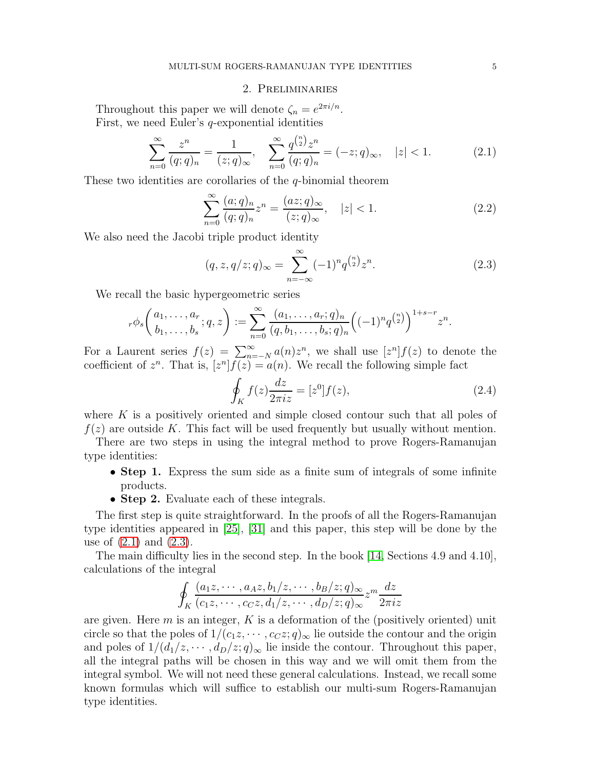#### 2. Preliminaries

<span id="page-4-0"></span>Throughout this paper we will denote  $\zeta_n = e^{2\pi i/n}$ . First, we need Euler's q-exponential identities

$$
\sum_{n=0}^{\infty} \frac{z^n}{(q;q)_n} = \frac{1}{(z;q)_{\infty}}, \quad \sum_{n=0}^{\infty} \frac{q^{\binom{n}{2}} z^n}{(q;q)_n} = (-z;q)_{\infty}, \quad |z| < 1. \tag{2.1}
$$

These two identities are corollaries of the  $q$ -binomial theorem

$$
\sum_{n=0}^{\infty} \frac{(a;q)_n}{(q;q)_n} z^n = \frac{(az;q)_{\infty}}{(z;q)_{\infty}}, \quad |z| < 1. \tag{2.2}
$$

We also need the Jacobi triple product identity

$$
(q, z, q/z; q)_{\infty} = \sum_{n=-\infty}^{\infty} (-1)^n q^{\binom{n}{2}} z^n.
$$
 (2.3)

We recall the basic hypergeometric series

$$
{}_{r}\phi_s\bigg(\begin{matrix} a_1, \dots, a_r \\ b_1, \dots, b_s \end{matrix}; q, z\bigg) := \sum_{n=0}^{\infty} \frac{(a_1, \dots, a_r; q)_n}{(q, b_1, \dots, b_s; q)_n} \Big((-1)^n q^{\binom{n}{2}}\Big)^{1+s-r} z^n
$$

For a Laurent series  $f(z) = \sum_{n=-N}^{\infty} a(n)z^n$ , we shall use  $[z^n]f(z)$  to denote the coefficient of  $z^n$ . That is,  $[z^n]f(z) = a(n)$ . We recall the following simple fact

$$
\oint_{K} f(z) \frac{dz}{2\pi i z} = [z^{0}] f(z),\tag{2.4}
$$

where  $K$  is a positively oriented and simple closed contour such that all poles of  $f(z)$  are outside K. This fact will be used frequently but usually without mention.

There are two steps in using the integral method to prove Rogers-Ramanujan type identities:

- Step 1. Express the sum side as a finite sum of integrals of some infinite products.
- Step 2. Evaluate each of these integrals.

The first step is quite straightforward. In the proofs of all the Rogers-Ramanujan type identities appeared in [\[25\]](#page-23-3), [\[31\]](#page-23-4) and this paper, this step will be done by the use of [\(2.1\)](#page-4-1) and [\(2.3\)](#page-4-2).

The main difficulty lies in the second step. In the book [\[14,](#page-22-18) Sections 4.9 and 4.10], calculations of the integral

$$
\oint_K \frac{(a_1z, \dots, a_Az, b_1/z, \dots, b_B/z; q)_{\infty}}{(c_1z, \dots, c_Cz, d_1/z, \dots, d_D/z; q)_{\infty}} z^m \frac{dz}{2\pi iz}
$$

are given. Here  $m$  is an integer,  $K$  is a deformation of the (positively oriented) unit circle so that the poles of  $1/(c_1z, \dots, c_Cz; q)_{\infty}$  lie outside the contour and the origin and poles of  $1/(d_1/z, \dots, d_D/z; q)_{\infty}$  lie inside the contour. Throughout this paper, all the integral paths will be chosen in this way and we will omit them from the integral symbol. We will not need these general calculations. Instead, we recall some known formulas which will suffice to establish our multi-sum Rogers-Ramanujan type identities.

<span id="page-4-4"></span><span id="page-4-3"></span><span id="page-4-2"></span><span id="page-4-1"></span>.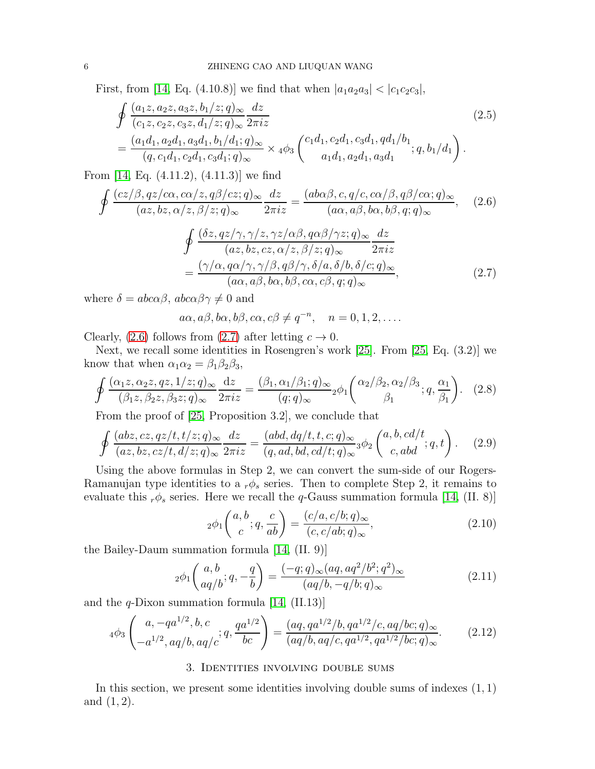First, from [\[14,](#page-22-18) Eq. (4.10.8)] we find that when  $|a_1a_2a_3| < |c_1c_2c_3|$ ,

<span id="page-5-4"></span>
$$
\oint \frac{(a_1 z, a_2 z, a_3 z, b_1/z; q)_{\infty} dz}{(c_1 z, c_2 z, c_3 z, d_1/z; q)_{\infty}} \frac{dz}{2\pi i z}
$$
\n
$$
= \frac{(a_1 d_1, a_2 d_1, a_3 d_1, b_1/d_1; q)_{\infty}}{(q, c_1 d_1, c_2 d_1, c_3 d_1; q)_{\infty}} \times 4\phi_3 \left( \begin{array}{c} c_1 d_1, c_2 d_1, c_3 d_1, q d_1/b_1 \\ a_1 d_1, a_2 d_1, a_3 d_1 \end{array}; q, b_1/d_1 \right).
$$
\n(2.5)

From [\[14,](#page-22-18) Eq. (4.11.2), (4.11.3)] we find

$$
\oint \frac{(cz/\beta, qz/c\alpha, c\alpha/z, q\beta/cz; q)_{\infty}}{(az, bz, \alpha/z, \beta/z; q)_{\infty}} \frac{dz}{2\pi iz} = \frac{(ab\alpha\beta, c, q/c, c\alpha/\beta, q\beta/c\alpha; q)_{\infty}}{(a\alpha, a\beta, b\alpha, b\beta, q; q)_{\infty}}, \quad (2.6)
$$
\n
$$
\oint \frac{(\delta z, qz/\gamma, \gamma/z, \gamma z/\alpha\beta, q\alpha\beta/\gamma z; q)_{\infty}}{(az, bz, cz, \alpha/z, \beta/z; q)_{\infty}} \frac{dz}{2\pi iz}
$$
\n
$$
= \frac{(\gamma/\alpha, q\alpha/\gamma, \gamma/\beta, q\beta/\gamma, \delta/a, \delta/b, \delta/c; q)_{\infty}}{(a\alpha, a\beta, b\alpha, b\beta, c\alpha, c\beta, q; q)_{\infty}}, \quad (2.7)
$$

where  $\delta = abc\alpha\beta$ ,  $abc\alpha\beta\gamma \neq 0$  and

<span id="page-5-2"></span><span id="page-5-1"></span>
$$
a\alpha, a\beta, b\alpha, b\beta, c\alpha, c\beta \neq q^{-n}, \quad n = 0, 1, 2, \dots
$$

Clearly, [\(2.6\)](#page-5-1) follows from [\(2.7\)](#page-5-2) after letting  $c \to 0$ .

Next, we recall some identities in Rosengren's work [\[25\]](#page-23-3). From [\[25,](#page-23-3) Eq. (3.2)] we know that when  $\alpha_1 \alpha_2 = \beta_1 \beta_2 \beta_3$ ,

$$
\oint \frac{(\alpha_1 z, \alpha_2 z, qz, 1/z; q)_{\infty}}{(\beta_1 z, \beta_2 z, \beta_3 z; q)_{\infty}} \frac{dz}{2\pi i z} = \frac{(\beta_1, \alpha_1/\beta_1; q)_{\infty}}{(q; q)_{\infty}} 2\phi_1 \left(\frac{\alpha_2/\beta_2, \alpha_2/\beta_3}{\beta_1}; q, \frac{\alpha_1}{\beta_1}\right). \tag{2.8}
$$

From the proof of [\[25,](#page-23-3) Proposition 3.2], we conclude that

$$
\oint \frac{(abz, cz, qz/t, t/z; q)_{\infty}}{(az, bz, cz/t, d/z; q)_{\infty}} \frac{dz}{2\pi iz} = \frac{(abd, dq/t, t, c; q)_{\infty}}{(q, ad, bd, cd/t; q)_{\infty}} {}_3\phi_2 \left( \begin{array}{c} a, b, cd/t \\ c, abd \end{array} ; q, t \right). \tag{2.9}
$$

Using the above formulas in Step 2, we can convert the sum-side of our Rogers-Ramanujan type identities to a  $_r \phi_s$  series. Then to complete Step 2, it remains to evaluate this  $r\phi_s$  series. Here we recall the q-Gauss summation formula [\[14,](#page-22-18) (II. 8)]

<span id="page-5-8"></span><span id="page-5-7"></span><span id="page-5-6"></span><span id="page-5-5"></span><span id="page-5-3"></span>
$$
{}_2\phi_1\left(\begin{array}{c} a,b\\c \end{array};q,\frac{c}{ab} \right) = \frac{(c/a,c/b;q)_\infty}{(c,c/ab;q)_\infty},\tag{2.10}
$$

the Bailey-Daum summation formula [\[14,](#page-22-18) (II. 9)]

$$
{}_2\phi_1\left(\begin{array}{c} a,b \\ aq/b \end{array}; q, -\frac{q}{b}\right) = \frac{(-q;q)_{\infty}(aq, aq^2/b^2; q^2)_{\infty}}{(aq/b, -q/b; q)_{\infty}} \tag{2.11}
$$

and the  $q$ -Dixon summation formula [\[14,](#page-22-18) (II.13)]

$$
{}_{4}\phi_{3}\left(\begin{array}{c} a, -qa^{1/2}, b, c \\ -a^{1/2}, aq/b, aq/c \end{array}; q, \frac{qa^{1/2}}{bc}\right) = \frac{(aq, qa^{1/2}/b, qa^{1/2}/c, aq/bc; q)_{\infty}}{(aq/b, aq/c, qa^{1/2}, qa^{1/2}/bc; q)_{\infty}}.
$$
(2.12)

#### 3. Identities involving double sums

<span id="page-5-0"></span>In this section, we present some identities involving double sums of indexes  $(1, 1)$ and  $(1, 2)$ .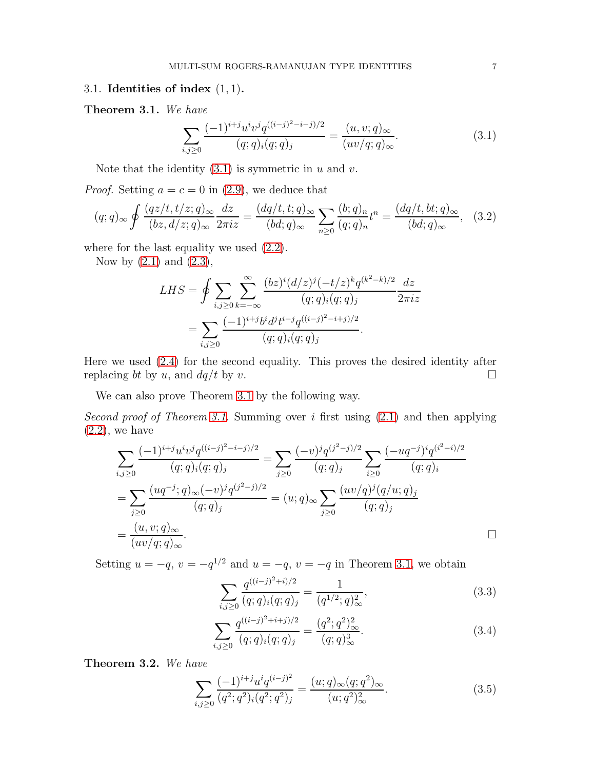#### 3.1. Identities of index  $(1, 1)$ .

<span id="page-6-1"></span>Theorem 3.1. We have

<span id="page-6-0"></span>
$$
\sum_{i,j\geq 0} \frac{(-1)^{i+j} u^i v^j q^{((i-j)^2-i-j)/2}}{(q;q)_i (q;q)_j} = \frac{(u,v;q)_{\infty}}{(uv/q;q)_{\infty}}.\tag{3.1}
$$

Note that the identity  $(3.1)$  is symmetric in u and v.

*Proof.* Setting  $a = c = 0$  in [\(2.9\)](#page-5-3), we deduce that

$$
(q;q)_{\infty} \oint \frac{(qz/t, t/z; q)_{\infty}}{(bz, d/z; q)_{\infty}} \frac{dz}{2\pi iz} = \frac{(dq/t, t; q)_{\infty}}{(bd; q)_{\infty}} \sum_{n \ge 0} \frac{(b; q)_n}{(q; q)_n} t^n = \frac{(dq/t, bt; q)_{\infty}}{(bd; q)_{\infty}}, \quad (3.2)
$$

where for the last equality we used  $(2.2)$ .

Now by  $(2.1)$  and  $(2.3)$ ,

$$
LHS = \oint \sum_{i,j\geq 0} \sum_{k=-\infty}^{\infty} \frac{(bz)^i (d/z)^j (-t/z)^k q^{(k^2-k)/2}}{(q;q)_i (q;q)_j} \frac{dz}{2\pi iz}
$$
  
= 
$$
\sum_{i,j\geq 0} \frac{(-1)^{i+j} b^i d^j t^{i-j} q^{((i-j)^2 - i+j)/2}}{(q;q)_i (q;q)_j}.
$$

Here we used [\(2.4\)](#page-4-4) for the second equality. This proves the desired identity after replacing bt by u, and  $dq/t$  by v.

We can also prove Theorem [3.1](#page-6-1) by the following way.

Second proof of Theorem [3.1.](#page-6-1) Summing over i first using  $(2.1)$  and then applying  $(2.2)$ , we have

$$
\sum_{i,j\geq 0} \frac{(-1)^{i+j} u^i v^j q^{((i-j)^2-i-j)/2}}{(q;q)_i (q;q)_j} = \sum_{j\geq 0} \frac{(-v)^j q^{(j^2-j)/2}}{(q;q)_j} \sum_{i\geq 0} \frac{(-uq^{-j})^i q^{(i^2-i)/2}}{(q;q)_i}
$$

$$
= \sum_{j\geq 0} \frac{(uq^{-j};q)_{\infty}(-v)^j q^{(j^2-j)/2}}{(q;q)_j} = (u;q)_{\infty} \sum_{j\geq 0} \frac{(uv/q)^j (q/u;q)_j}{(q;q)_j}
$$

$$
= \frac{(u,v;q)_{\infty}}{(uv/q;q)_{\infty}}.
$$

Setting  $u = -q$ ,  $v = -q^{1/2}$  and  $u = -q$ ,  $v = -q$  in Theorem [3.1,](#page-6-1) we obtain

$$
\sum_{i,j\geq 0} \frac{q^{((i-j)^2+i)/2}}{(q;q)_i (q;q)_j} = \frac{1}{(q^{1/2};q)_{\infty}^2},\tag{3.3}
$$

<span id="page-6-2"></span>
$$
\sum_{i,j\geq 0} \frac{q^{((i-j)^2+i+j)/2}}{(q;q)_i (q;q)_j} = \frac{(q^2;q^2)_{\infty}^2}{(q;q)_{\infty}^3}.
$$
\n(3.4)

<span id="page-6-3"></span>Theorem 3.2. We have

$$
\sum_{i,j\geq 0} \frac{(-1)^{i+j} u^i q^{(i-j)^2}}{(q^2;q^2)_i (q^2;q^2)_j} = \frac{(u;q)_{\infty} (q;q^2)_{\infty}}{(u;q^2)_{\infty}^2}.
$$
\n(3.5)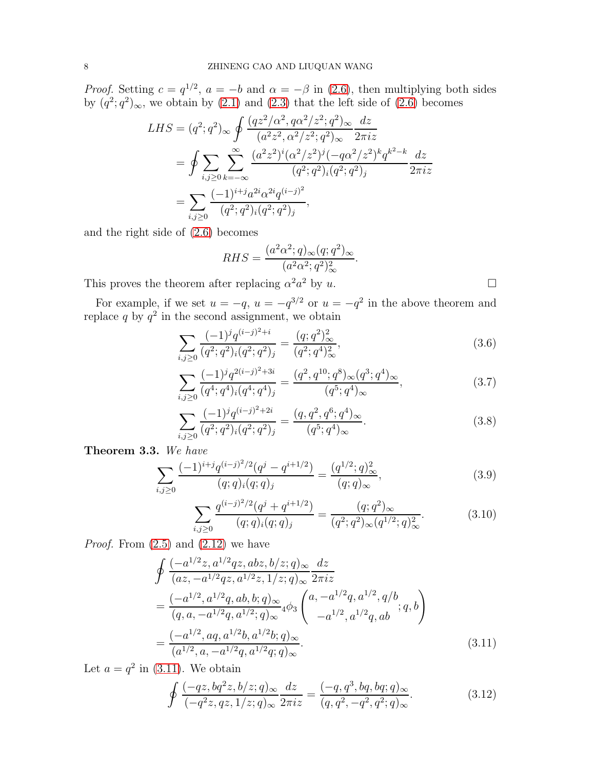*Proof.* Setting  $c = q^{1/2}$ ,  $a = -b$  and  $\alpha = -\beta$  in [\(2.6\)](#page-5-1), then multiplying both sides by  $(q^2; q^2)_{\infty}$ , we obtain by [\(2.1\)](#page-4-1) and [\(2.3\)](#page-4-2) that the left side of [\(2.6\)](#page-5-1) becomes

$$
LHS = (q^2; q^2)_{\infty} \oint \frac{(qz^2/\alpha^2, q\alpha^2/z^2; q^2)_{\infty}}{(a^2z^2, \alpha^2/z^2; q^2)_{\infty}} \frac{dz}{2\pi iz}
$$
  
= 
$$
\oint \sum_{i,j\geq 0} \sum_{k=-\infty}^{\infty} \frac{(a^2z^2)^i(\alpha^2/z^2)^j(-q\alpha^2/z^2)^k q^{k^2-k}}{(q^2; q^2)_i(q^2; q^2)_j} \frac{dz}{2\pi iz}
$$
  
= 
$$
\sum_{i,j\geq 0} \frac{(-1)^{i+j}a^{2i}\alpha^{2i}q^{(i-j)^2}}{(q^2; q^2)_i(q^2; q^2)_j},
$$

and the right side of [\(2.6\)](#page-5-1) becomes

$$
RHS = \frac{(a^2\alpha^2;q)_{\infty}(q;q^2)_{\infty}}{(a^2\alpha^2;q^2)_{\infty}^2}.
$$

This proves the theorem after replacing  $\alpha^2 a^2$  by u.

<span id="page-7-3"></span><span id="page-7-2"></span>

For example, if we set  $u = -q$ ,  $u = -q^{3/2}$  or  $u = -q^2$  in the above theorem and replace q by  $q^2$  in the second assignment, we obtain

$$
\sum_{i,j\geq 0} \frac{(-1)^j q^{(i-j)^2+i}}{(q^2;q^2)_i (q^2;q^2)_j} = \frac{(q;q^2)_{\infty}^2}{(q^2;q^4)_{\infty}^2},\tag{3.6}
$$

$$
\sum_{i,j\geq 0} \frac{(-1)^j q^{2(i-j)^2+3i}}{(q^4;q^4)_i (q^4;q^4)_j} = \frac{(q^2,q^{10};q^8)_{\infty} (q^3;q^4)_{\infty}}{(q^5;q^4)_{\infty}},\tag{3.7}
$$

$$
\sum_{i,j\geq 0} \frac{(-1)^j q^{(i-j)^2+2i}}{(q^2;q^2)_i (q^2;q^2)_j} = \frac{(q,q^2,q^6;q^4)_{\infty}}{(q^5;q^4)_{\infty}}.
$$
\n(3.8)

<span id="page-7-4"></span>Theorem 3.3. We have

$$
\sum_{i,j\geq 0} \frac{(-1)^{i+j} q^{(i-j)^2/2} (q^j - q^{i+1/2})}{(q;q)_i (q;q)_j} = \frac{(q^{1/2};q)_{\infty}^2}{(q;q)_{\infty}},\tag{3.9}
$$

$$
\sum_{i,j\geq 0} \frac{q^{(i-j)^2/2} (q^j + q^{i+1/2})}{(q;q)_i (q;q)_j} = \frac{(q;q^2)_{\infty}}{(q^2;q^2)_{\infty} (q^{1/2};q)^2_{\infty}}.
$$
(3.10)

*Proof.* From  $(2.5)$  and  $(2.12)$  we have

$$
\oint \frac{(-a^{1/2}z, a^{1/2}qz, abz, b/z; q)_{\infty}}{(az, -a^{1/2}qz, a^{1/2}z, 1/z; q)_{\infty}} \frac{dz}{2\pi i z}
$$
\n
$$
= \frac{(-a^{1/2}, a^{1/2}q, ab, b; q)_{\infty}}{(q, a, -a^{1/2}q, a^{1/2}; q)_{\infty}} {}_4\phi_3 \left( \begin{array}{c} a, -a^{1/2}q, a^{1/2}, q/b \\ -a^{1/2}, a^{1/2}q, ab \end{array}; q, b \right)
$$
\n
$$
= \frac{(-a^{1/2}, aq, a^{1/2}b, a^{1/2}b; q)_{\infty}}{(a^{1/2}, a, -a^{1/2}q, a^{1/2}q; q)_{\infty}}.
$$
\n(3.11)

Let  $a = q^2$  in [\(3.11\)](#page-7-0). We obtain

<span id="page-7-1"></span><span id="page-7-0"></span>
$$
\oint \frac{(-qz, bq^2z, b/z; q)_{\infty}}{(-q^2z, qz, 1/z; q)_{\infty}} \frac{dz}{2\pi i z} = \frac{(-q, q^3, bq, bq; q)_{\infty}}{(q, q^2, -q^2, q^2; q)_{\infty}}.
$$
\n(3.12)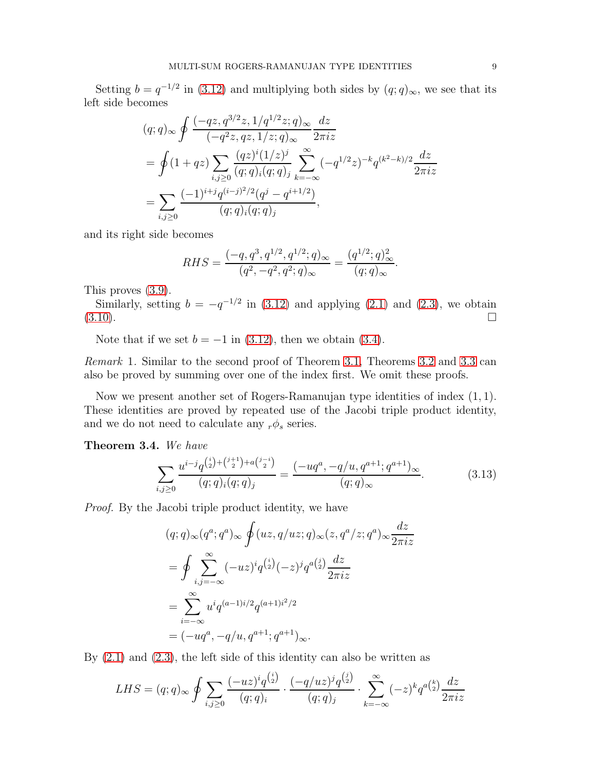Setting  $b = q^{-1/2}$  in [\(3.12\)](#page-7-1) and multiplying both sides by  $(q; q)_{\infty}$ , we see that its left side becomes

$$
(q;q)_{\infty} \oint \frac{(-qz, q^{3/2}z, 1/q^{1/2}z; q)_{\infty}}{(-q^2z, qz, 1/z; q)_{\infty}} \frac{dz}{2\pi iz}
$$
  
= 
$$
\oint (1+qz) \sum_{i,j\geq 0} \frac{(qz)^i (1/z)^j}{(q;q)_i (q;q)_j} \sum_{k=-\infty}^{\infty} (-q^{1/2}z)^{-k} q^{(k^2-k)/2} \frac{dz}{2\pi iz}
$$
  
= 
$$
\sum_{i,j\geq 0} \frac{(-1)^{i+j} q^{(i-j)^2/2} (q^j - q^{i+1/2})}{(q;q)_i (q;q)_j},
$$

and its right side becomes

$$
RHS = \frac{(-q, q^3, q^{1/2}, q^{1/2}; q)_{\infty}}{(q^2, -q^2, q^2; q)_{\infty}} = \frac{(q^{1/2}; q)_{\infty}^2}{(q; q)_{\infty}}.
$$

This proves [\(3.9\)](#page-7-2).

Similarly, setting  $b = -q^{-1/2}$  in [\(3.12\)](#page-7-1) and applying [\(2.1\)](#page-4-1) and [\(2.3\)](#page-4-2), we obtain  $(3.10)$ .

Note that if we set  $b = -1$  in [\(3.12\)](#page-7-1), then we obtain [\(3.4\)](#page-6-2).

<span id="page-8-1"></span>Remark 1. Similar to the second proof of Theorem [3.1,](#page-6-1) Theorems [3.2](#page-6-3) and [3.3](#page-7-4) can also be proved by summing over one of the index first. We omit these proofs.

Now we present another set of Rogers-Ramanujan type identities of index (1, 1). These identities are proved by repeated use of the Jacobi triple product identity, and we do not need to calculate any  $_r \phi_s$  series.

<span id="page-8-0"></span>Theorem 3.4. We have

$$
\sum_{i,j\geq 0} \frac{u^{i-j} q^{\binom{i}{2}+\binom{j+1}{2}+a\binom{j-i}{2}}}{(q;q)_i (q;q)_j} = \frac{(-uq^a, -q/u, q^{a+1}; q^{a+1})_\infty}{(q;q)_\infty}.
$$
(3.13)

Proof. By the Jacobi triple product identity, we have

$$
(q;q)_{\infty}(q^{a};q^{a})_{\infty} \oint (uz,q/uz;q)_{\infty}(z,q^{a}/z;q^{a})_{\infty} \frac{dz}{2\pi iz}
$$
  
= 
$$
\oint \sum_{i,j=-\infty}^{\infty} (-uz)^{i} q^{i} (z)(-z)^{j} q^{a} {j \choose 2} \frac{dz}{2\pi iz}
$$
  
= 
$$
\sum_{i=-\infty}^{\infty} u^{i} q^{(a-1)i/2} q^{(a+1)i^{2}/2}
$$
  
= 
$$
(-uq^{a}, -q/u, q^{a+1}; q^{a+1})_{\infty}.
$$

By [\(2.1\)](#page-4-1) and [\(2.3\)](#page-4-2), the left side of this identity can also be written as

$$
LHS = (q;q)_{\infty} \oint \sum_{i,j \ge 0} \frac{(-uz)^i q^{\binom{i}{2}}}{(q;q)_i} \cdot \frac{(-q/uz)^j q^{\binom{j}{2}}}{(q;q)_j} \cdot \sum_{k=-\infty}^{\infty} (-z)^k q^{a\binom{k}{2}} \frac{dz}{2\pi iz}
$$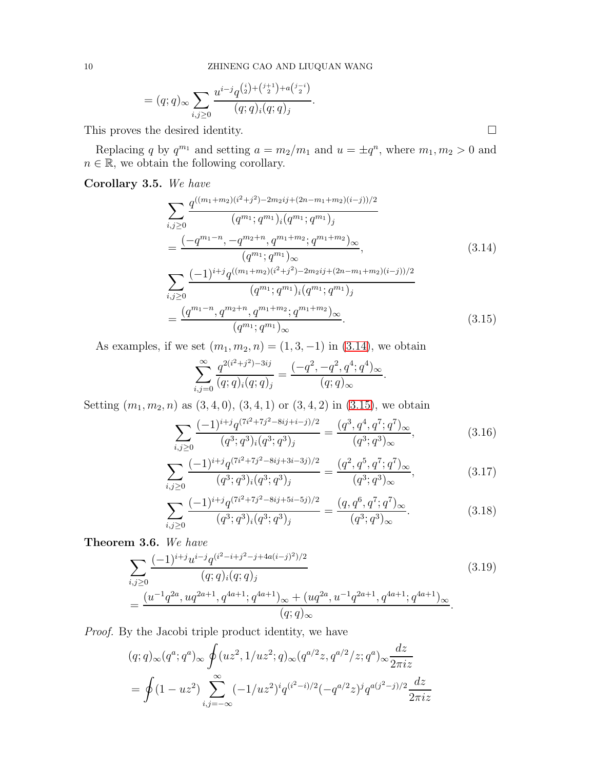.

$$
= (q;q)_{\infty} \sum_{i,j \geq 0} \frac{u^{i-j} q^{\binom{i}{2} + \binom{j+1}{2} + a^{\binom{j-i}{2}}}}{(q;q)_{i} (q;q)_{j}}
$$

This proves the desired identity.  $\Box$ 

Replacing q by  $q^{m_1}$  and setting  $a = m_2/m_1$  and  $u = \pm q^n$ , where  $m_1, m_2 > 0$  and  $n \in \mathbb{R}$ , we obtain the following corollary.

<span id="page-9-3"></span>Corollary 3.5. We have

$$
\sum_{i,j\geq 0} \frac{q^{((m_1+m_2)(i^2+j^2)-2m_2ij+(2n-m_1+m_2)(i-j))/2}}{(q^{m_1}; q^{m_1})_i (q^{m_1}; q^{m_1})_j}
$$
\n
$$
=\frac{(-q^{m_1-n}, -q^{m_2+n}, q^{m_1+m_2}; q^{m_1+m_2})_{\infty}}{(q^{m_1}; q^{m_1})_{\infty}},
$$
\n
$$
\sum_{i,j\geq 0} \frac{(-1)^{i+j}q^{((m_1+m_2)(i^2+j^2)-2m_2ij+(2n-m_1+m_2)(i-j))/2}}{(q^{m_1}; q^{m_1})_i (q^{m_1}; q^{m_1})_j}
$$
\n
$$
=\frac{(q^{m_1-n}, q^{m_2+n}, q^{m_1+m_2}; q^{m_1+m_2})_{\infty}}{(q^{m_1}; q^{m_1})_{\infty}}.
$$
\n(3.15)

As examples, if we set  $(m_1, m_2, n) = (1, 3, -1)$  in  $(3.14)$ , we obtain

$$
\sum_{i,j=0}^{\infty} \frac{q^{2(i^2+j^2)-3ij}}{(q;q)_i(q;q)_j} = \frac{(-q^2,-q^2,q^4;q^4)_{\infty}}{(q;q)_{\infty}}.
$$

Setting  $(m_1, m_2, n)$  as  $(3, 4, 0), (3, 4, 1)$  or  $(3, 4, 2)$  in  $(3.15)$ , we obtain

$$
\sum_{i,j\geq 0} \frac{(-1)^{i+j} q^{(7i^2+7j^2-8ij+i-j)/2}}{(q^3;q^3)_i (q^3;q^3)_j} = \frac{(q^3,q^4,q^7;q^7)_{\infty}}{(q^3;q^3)_{\infty}},
$$
\n(3.16)

$$
\sum_{i,j\geq 0} \frac{(-1)^{i+j} q^{(7i^2+7j^2-8ij+3i-3j)/2}}{(q^3;q^3)_i (q^3;q^3)_j} = \frac{(q^2,q^5,q^7;q^7)_{\infty}}{(q^3;q^3)_{\infty}},
$$
\n(3.17)

$$
\sum_{i,j\geq 0} \frac{(-1)^{i+j} q^{(7i^2+7j^2-8ij+5i-5j)/2}}{(q^3;q^3)_i (q^3;q^3)_j} = \frac{(q,q^6,q^7;q^7)_{\infty}}{(q^3;q^3)_{\infty}}.
$$
\n(3.18)

<span id="page-9-2"></span>Theorem 3.6. We have

$$
\sum_{i,j\geq 0} \frac{(-1)^{i+j} u^{i-j} q^{(i^2-i+j^2-j+4a(i-j)^2)/2}}{(q;q)_i (q;q)_j} \qquad (3.19)
$$

$$
=\frac{(u^{-1} q^{2a}, u q^{2a+1}, q^{4a+1}; q^{4a+1})_\infty + (u q^{2a}, u^{-1} q^{2a+1}, q^{4a+1}; q^{4a+1})_\infty}{(q;q)_\infty}.
$$

Proof. By the Jacobi triple product identity, we have

$$
(q;q)_{\infty}(q^a;q^a)_{\infty} \oint (uz^2,1/uz^2;q)_{\infty}(q^{a/2}z,q^{a/2}/z;q^a)_{\infty} \frac{dz}{2\pi iz}
$$
  
= 
$$
\oint (1-uz^2) \sum_{i,j=-\infty}^{\infty} (-1/uz^2)^i q^{(i^2-i)/2} (-q^{a/2}z)^j q^{a(j^2-j)/2} \frac{dz}{2\pi iz}
$$

<span id="page-9-1"></span><span id="page-9-0"></span>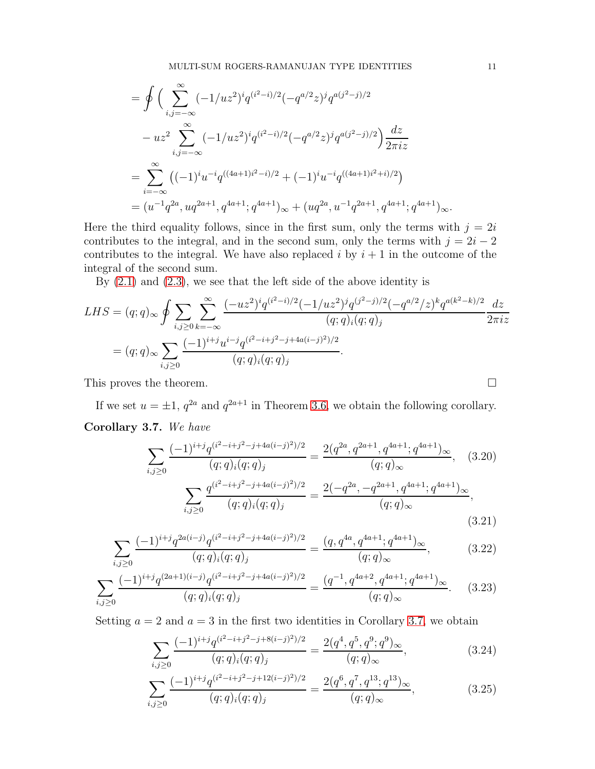$$
= \oint \left( \sum_{i,j=-\infty}^{\infty} (-1/uz^2)^i q^{(i^2-i)/2} (-q^{a/2}z)^j q^{a(j^2-j)/2} \right. \\
\left. - uz^2 \sum_{i,j=-\infty}^{\infty} (-1/uz^2)^i q^{(i^2-i)/2} (-q^{a/2}z)^j q^{a(j^2-j)/2} \right) \frac{dz}{2\pi iz} \\
= \sum_{i=-\infty}^{\infty} \left( (-1)^i u^{-i} q^{((4a+1)i^2-i)/2} + (-1)^i u^{-i} q^{((4a+1)i^2+i)/2} \right) \\
= (u^{-1}q^{2a}, uq^{2a+1}, q^{4a+1}; q^{4a+1})_{\infty} + (uq^{2a}, u^{-1}q^{2a+1}, q^{4a+1}; q^{4a+1})_{\infty}.
$$

Here the third equality follows, since in the first sum, only the terms with  $j = 2i$ contributes to the integral, and in the second sum, only the terms with  $j = 2i - 2$ contributes to the integral. We have also replaced  $i$  by  $i + 1$  in the outcome of the integral of the second sum.

By [\(2.1\)](#page-4-1) and [\(2.3\)](#page-4-2), we see that the left side of the above identity is

$$
LHS = (q;q)_{\infty} \oint \sum_{i,j\geq 0} \sum_{k=-\infty}^{\infty} \frac{(-uz^2)^i q^{(i^2-i)/2} (-1/uz^2)^j q^{(j^2-j)/2} (-q^{a/2}/z)^k q^{a(k^2-k)/2}}{(q;q)_i (q;q)_j} \frac{dz}{2\pi iz}
$$
  
=  $(q;q)_{\infty} \sum_{i,j\geq 0} \frac{(-1)^{i+j} u^{i-j} q^{(i^2-i+j^2-j+4a(i-j)^2)/2}}{(q;q)_i (q;q)_j}.$ 

This proves the theorem.

<span id="page-10-0"></span>If we set  $u = \pm 1$ ,  $q^{2a}$  and  $q^{2a+1}$  in Theorem [3.6,](#page-9-2) we obtain the following corollary. Corollary 3.7. We have

$$
\sum_{i,j\geq 0} \frac{(-1)^{i+j} q^{(i^2-i+j^2-j+4a(i-j)^2)/2}}{(q;q)_i (q;q)_j} = \frac{2(q^{2a}, q^{2a+1}, q^{4a+1}; q^{4a+1})_{\infty}}{(q;q)_{\infty}}, \quad (3.20)
$$

$$
\sum_{i,j\geq 0} \frac{q^{(i^2-i+j^2-j+4a(i-j)^2)/2}}{(q;q)_i (q;q)_j} = \frac{2(-q^{2a}, -q^{2a+1}, q^{4a+1}; q^{4a+1})_{\infty}}{(q;q)_{\infty}}, \quad (3.21)
$$

$$
\sum_{i,j\geq 0} \frac{(-1)^{i+j} q^{2a(i-j)} q^{(i^2-i+j^2-j+4a(i-j)^2)/2}}{(q;q)_i (q;q)_j} = \frac{(q, q^{4a}, q^{4a+1}; q^{4a+1})_\infty}{(q;q)_\infty},
$$
(3.22)

$$
\sum_{i,j\geq 0} \frac{(-1)^{i+j} q^{(2a+1)(i-j)} q^{(i^2-i+j^2-j+4a(i-j)^2)/2}}{(q;q)_i (q;q)_j} = \frac{(q^{-1}, q^{4a+2}, q^{4a+1}; q^{4a+1})_{\infty}}{(q;q)_{\infty}}.\tag{3.23}
$$

Setting  $a = 2$  and  $a = 3$  in the first two identities in Corollary [3.7,](#page-10-0) we obtain

$$
\sum_{i,j\geq 0} \frac{(-1)^{i+j} q^{(i^2-i+j^2-j+8(i-j)^2)/2}}{(q;q)_i (q;q)_j} = \frac{2(q^4, q^5, q^9; q^9)_{\infty}}{(q;q)_{\infty}},
$$
\n(3.24)

$$
\sum_{i,j\geq 0} \frac{(-1)^{i+j} q^{(i^2-i+j^2-j+12(i-j)^2)/2}}{(q;q)_i (q;q)_j} = \frac{2(q^6, q^7, q^{13}; q^{13})_\infty}{(q;q)_\infty},
$$
\n(3.25)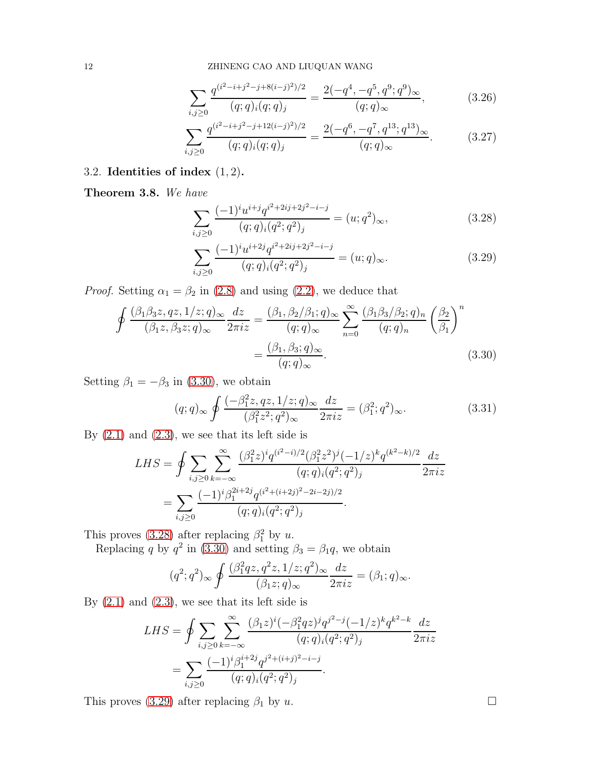$$
\sum_{i,j\geq 0} \frac{q^{(i^2-i+j^2-j+8(i-j)^2)/2}}{(q;q)_i(q;q)_j} = \frac{2(-q^4,-q^5,q^9;q^9)_{\infty}}{(q;q)_{\infty}},
$$
(3.26)

$$
\sum_{i,j\geq 0} \frac{q^{(i^2-i+j^2-j+12(i-j)^2)/2}}{(q;q)_i(q;q)_j} = \frac{2(-q^6,-q^7,q^{13};q^{13})_{\infty}}{(q;q)_{\infty}}.\tag{3.27}
$$

## 3.2. Identities of index  $(1, 2)$ .

Theorem 3.8. We have

<span id="page-11-1"></span>
$$
\sum_{i,j\geq 0} \frac{(-1)^i u^{i+j} q^{i^2+2ij+2j^2-i-j}}{(q;q)_i (q^2;q^2)_j} = (u;q^2)_{\infty},
$$
\n(3.28)

<span id="page-11-2"></span><span id="page-11-0"></span>
$$
\sum_{i,j\geq 0} \frac{(-1)^i u^{i+2j} q^{i^2+2ij+2j^2-i-j}}{(q;q)_i (q^2;q^2)_j} = (u;q)_{\infty}.
$$
\n(3.29)

*Proof.* Setting  $\alpha_1 = \beta_2$  in [\(2.8\)](#page-5-6) and using [\(2.2\)](#page-4-3), we deduce that

$$
\oint \frac{(\beta_1 \beta_3 z, qz, 1/z; q)_{\infty}}{(\beta_1 z, \beta_3 z; q)_{\infty}} \frac{dz}{2\pi i z} = \frac{(\beta_1, \beta_2/\beta_1; q)_{\infty}}{(q; q)_{\infty}} \sum_{n=0}^{\infty} \frac{(\beta_1 \beta_3/\beta_2; q)_n}{(q; q)_n} \left(\frac{\beta_2}{\beta_1}\right)^n
$$

$$
= \frac{(\beta_1, \beta_3; q)_{\infty}}{(q; q)_{\infty}}.
$$
(3.30)

Setting  $\beta_1 = -\beta_3$  in [\(3.30\)](#page-11-0), we obtain

<span id="page-11-3"></span>
$$
(q;q)_{\infty} \oint \frac{(-\beta_1^2 z, qz, 1/z; q)_{\infty}}{(\beta_1^2 z^2; q^2)_{\infty}} \frac{dz}{2\pi i z} = (\beta_1^2; q^2)_{\infty}.
$$
 (3.31)

By  $(2.1)$  and  $(2.3)$ , we see that its left side is

$$
LHS = \oint \sum_{i,j\geq 0} \sum_{k=-\infty}^{\infty} \frac{(\beta_1^2 z)^i q^{(i^2-i)/2} (\beta_1^2 z^2)^j (-1/z)^k q^{(k^2-k)/2}}{(q;q)_i (q^2;q^2)_j} \frac{dz}{2\pi i z}
$$
  
= 
$$
\sum_{i,j\geq 0} \frac{(-1)^i \beta_1^{2i+2j} q^{(i^2+(i+2j)^2-2i-2j)/2}}{(q;q)_i (q^2;q^2)_j}.
$$

This proves [\(3.28\)](#page-11-1) after replacing  $\beta_1^2$  by u.

Replacing q by  $q^2$  in [\(3.30\)](#page-11-0) and setting  $\beta_3 = \beta_1 q$ , we obtain

$$
(q^2;q^2)_{\infty} \oint \frac{(\beta_1^2qz,q^2z,1/z;q^2)_{\infty}}{(\beta_1z;q)_{\infty}} \frac{dz}{2\pi iz} = (\beta_1;q)_{\infty}.
$$

By  $(2.1)$  and  $(2.3)$ , we see that its left side is

$$
LHS = \oint \sum_{i,j\geq 0} \sum_{k=-\infty}^{\infty} \frac{(\beta_1 z)^i (-\beta_1^2 q z)^j q^{j^2-j} (-1/z)^k q^{k^2-k}}{(q;q)_i (q^2;q^2)_j} \frac{dz}{2\pi i z}
$$
  
= 
$$
\sum_{i,j\geq 0} \frac{(-1)^i \beta_1^{i+2j} q^{j^2+(i+j)^2-i-j}}{(q;q)_i (q^2;q^2)_j}.
$$

This proves [\(3.29\)](#page-11-2) after replacing  $\beta_1$  by u.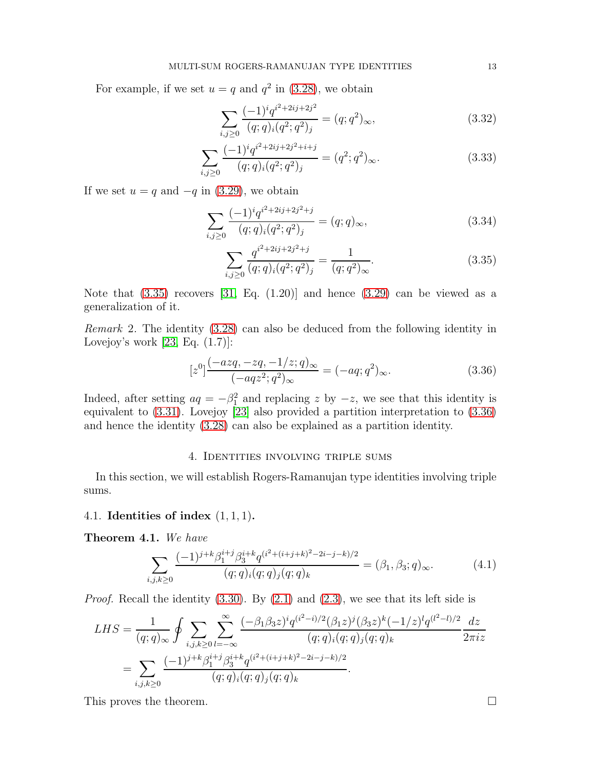For example, if we set  $u = q$  and  $q^2$  in [\(3.28\)](#page-11-1), we obtain

$$
\sum_{i,j\geq 0} \frac{(-1)^i q^{i^2+2ij+2j^2}}{(q;q)_i (q^2;q^2)_j} = (q;q^2)_{\infty},\tag{3.32}
$$

$$
\sum_{i,j\geq 0} \frac{(-1)^i q^{i^2+2ij+2j^2+i+j}}{(q;q)_i (q^2;q^2)_j} = (q^2;q^2)_{\infty}.
$$
\n(3.33)

If we set  $u = q$  and  $-q$  in [\(3.29\)](#page-11-2), we obtain

$$
\sum_{i,j\geq 0} \frac{(-1)^i q^{i^2+2ij+2j^2+j}}{(q;q)_i (q^2;q^2)_j} = (q;q)_{\infty},\tag{3.34}
$$

<span id="page-12-2"></span><span id="page-12-1"></span>
$$
\sum_{i,j\geq 0} \frac{q^{i^2+2ij+2j^2+j}}{(q;q)_i(q^2;q^2)_j} = \frac{1}{(q;q^2)_{\infty}}.
$$
\n(3.35)

Note that  $(3.35)$  recovers  $[31, Eq. (1.20)]$  and hence  $(3.29)$  can be viewed as a generalization of it.

Remark 2. The identity [\(3.28\)](#page-11-1) can also be deduced from the following identity in Lovejoy's work  $[23, Eq. (1.7)]$ :

$$
[z^{0}] \frac{(-azq, -zq, -1/z; q)_{\infty}}{(-aqz^{2}; q^{2})_{\infty}} = (-aq; q^{2})_{\infty}.
$$
 (3.36)

Indeed, after setting  $aq = -\beta_1^2$  and replacing z by  $-z$ , we see that this identity is equivalent to [\(3.31\)](#page-11-3). Lovejoy [\[23\]](#page-23-8) also provided a partition interpretation to [\(3.36\)](#page-12-2) and hence the identity [\(3.28\)](#page-11-1) can also be explained as a partition identity.

#### 4. Identities involving triple sums

<span id="page-12-0"></span>In this section, we will establish Rogers-Ramanujan type identities involving triple sums.

#### 4.1. Identities of index (1, 1, 1).

Theorem 4.1. We have

$$
\sum_{i,j,k\geq 0} \frac{(-1)^{j+k} \beta_1^{i+j} \beta_3^{i+k} q^{(i^2+(i+j+k)^2-2i-j-k)/2}}{(q;q)_i (q;q)_j (q;q)_k} = (\beta_1, \beta_3; q)_{\infty}.
$$
 (4.1)

*Proof.* Recall the identity  $(3.30)$ . By  $(2.1)$  and  $(2.3)$ , we see that its left side is

$$
LHS = \frac{1}{(q;q)_{\infty}} \oint \sum_{i,j,k \ge 0} \sum_{l=-\infty}^{\infty} \frac{(-\beta_1 \beta_3 z)^i q^{(i^2-i)/2} (\beta_1 z)^j (\beta_3 z)^k (-1/z)^l q^{(l^2-l)/2}}{(q;q)_i (q;q)_j (q;q)_k} \frac{dz}{2\pi i z}
$$
  
= 
$$
\sum_{i,j,k \ge 0} \frac{(-1)^{j+k} \beta_1^{i+j} \beta_3^{i+k} q^{(i^2+(i+j+k)^2-2i-j-k)/2}}{(q;q)_i (q;q)_j (q;q)_k}.
$$

This proves the theorem.  $\Box$ 

<span id="page-12-3"></span>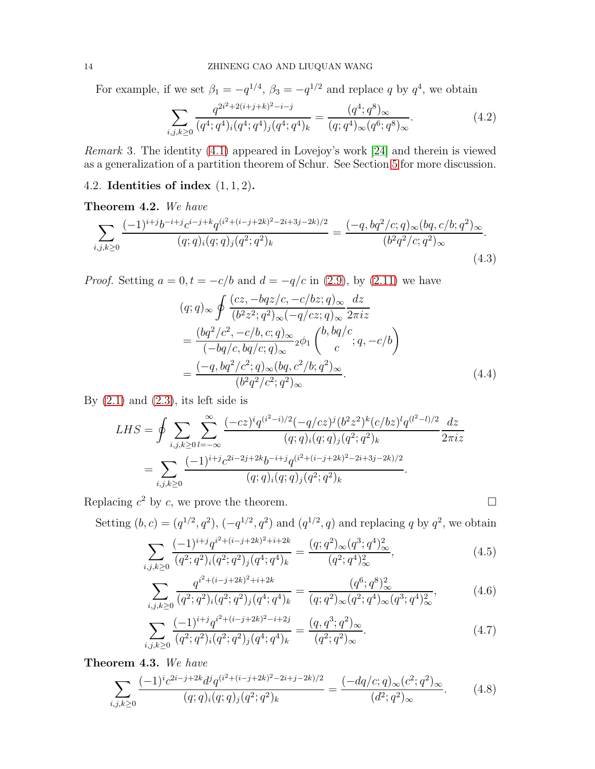For example, if we set  $\beta_1 = -q^{1/4}$ ,  $\beta_3 = -q^{1/2}$  and replace q by  $q^4$ , we obtain

$$
\sum_{i,j,k\geq 0} \frac{q^{2i^2+2(i+j+k)^2-i-j}}{(q^4;q^4)_i(q^4;q^4)_j(q^4;q^4)_k} = \frac{(q^4;q^8)_{\infty}}{(q;q^4)_{\infty}(q^6;q^8)_{\infty}}.
$$
\n(4.2)

<span id="page-13-1"></span>Remark 3. The identity [\(4.1\)](#page-12-3) appeared in Lovejoy's work [\[24\]](#page-23-9) and therein is viewed as a generalization of a partition theorem of Schur. See Section [5](#page-19-0) for more discussion.

#### 4.2. Identities of index  $(1, 1, 2)$ .

#### <span id="page-13-0"></span>Theorem 4.2. We have

$$
\sum_{i,j,k\geq 0} \frac{(-1)^{i+j}b^{-i+j}c^{i-j+k}q^{(i^2+(i-j+2k)^2-2i+3j-2k)/2}}{(q;q)_i(q;q)_j(q^2;q^2)_k} = \frac{(-q,bq^2/c;q)_\infty(bq,c/b;q^2)_\infty}{(b^2q^2/c;q^2)_\infty}.
$$
\n(4.3)

*Proof.* Setting  $a = 0, t = -c/b$  and  $d = -q/c$  in [\(2.9\)](#page-5-3), by [\(2.11\)](#page-5-7) we have

$$
(q;q)_{\infty} \oint \frac{(cz, -bqz/c, -c/bz; q)_{\infty}}{(b^2z^2; q^2)_{\infty}(-q/cz; q)_{\infty}} \frac{dz}{2\pi iz}
$$
  
= 
$$
\frac{(bq^2/c^2, -c/b, c; q)_{\infty}}{(-bq/c, bq/c; q)_{\infty}} {}_2\phi_1 \left( \begin{array}{c} b, bq/c \\ c \end{array} ; q, -c/b \right)
$$
  
= 
$$
\frac{(-q, bq^2/c^2; q)_{\infty} (bq, c^2/b; q^2)_{\infty}}{(b^2q^2/c^2; q^2)_{\infty}}.
$$
(4.4)

By  $(2.1)$  and  $(2.3)$ , its left side is

$$
LHS = \oint \sum_{i,j,k \ge 0} \sum_{l=-\infty}^{\infty} \frac{(-cz)^i q^{(i^2-i)/2} (-q/cz)^j (b^2 z^2)^k (c/bz)^l q^{(l^2-l)/2}}{(q;q)_i (q;q)_j (q^2;q^2)_k} \frac{dz}{2\pi iz}
$$
  
= 
$$
\sum_{i,j,k \ge 0} \frac{(-1)^{i+j} c^{2i-2j+2k} b^{-i+j} q^{(i^2+(i-j+2k)^2-2i+3j-2k)/2}}{(q;q)_i (q;q)_j (q^2;q^2)_k}.
$$

Replacing  $c^2$  by c, we prove the theorem.

Setting  $(b, c) = (q^{1/2}, q^2), (-q^{1/2}, q^2)$  and  $(q^{1/2}, q)$  and replacing q by  $q^2$ , we obtain

$$
\sum_{i,j,k\geq 0} \frac{(-1)^{i+j} q^{i^2+(i-j+2k)^2+i+2k}}{(q^2;q^2)_i (q^2;q^2)_j (q^4;q^4)_k} = \frac{(q;q^2)_{\infty} (q^3;q^4)_{\infty}^2}{(q^2;q^4)_{\infty}^2},\tag{4.5}
$$

$$
\sum_{i,j,k\geq 0} \frac{q^{i^2 + (i-j+2k)^2 + i+2k}}{(q^2;q^2)_i (q^2;q^2)_j (q^4;q^4)_k} = \frac{(q^6;q^8)_{\infty}^2}{(q;q^2)_{\infty} (q^2;q^4)_{\infty} (q^3;q^4)_{\infty}^2},\tag{4.6}
$$

$$
\sum_{i,j,k\geq 0} \frac{(-1)^{i+j} q^{i^2+(i-j+2k)^2-i+2j}}{(q^2;q^2)_i (q^2;q^2)_j (q^4;q^4)_k} = \frac{(q,q^3;q^2)_{\infty}}{(q^2;q^2)_{\infty}}.
$$
\n(4.7)

Theorem 4.3. We have

$$
\sum_{i,j,k\geq 0} \frac{(-1)^i c^{2i-j+2k} d^j q^{(i^2+(i-j+2k)^2-2i+j-2k)/2}}{(q;q)_i (q;q)_j (q^2;q^2)_k} = \frac{(-dq/c;q)_\infty (c^2;q^2)_\infty}{(d^2;q^2)_\infty}.
$$
 (4.8)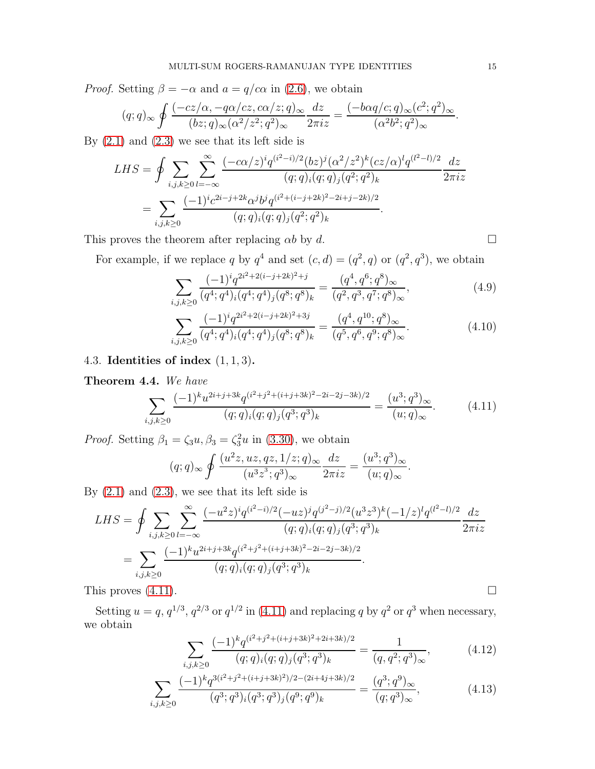*Proof.* Setting  $\beta = -\alpha$  and  $a = q/c\alpha$  in [\(2.6\)](#page-5-1), we obtain

$$
(q;q)_{\infty} \oint \frac{(-cz/\alpha, -q\alpha/cz, c\alpha/z;q)_{\infty}}{(bz;q)_{\infty}(\alpha^2/z^2;q^2)_{\infty}} \frac{dz}{2\pi iz} = \frac{(-b\alpha q/c;q)_{\infty}(c^2;q^2)_{\infty}}{(\alpha^2 b^2;q^2)_{\infty}}.
$$

By  $(2.1)$  and  $(2.3)$  we see that its left side is

$$
LHS = \oint \sum_{i,j,k \ge 0} \sum_{l=-\infty}^{\infty} \frac{(-c\alpha/z)^i q^{(i^2-i)/2} (bz)^j (\alpha^2/z^2)^k (cz/\alpha)^l q^{(l^2-l)/2}}{(q;q)_i (q;q)_j (q^2;q^2)_k} \frac{dz}{2\pi iz}
$$
  
= 
$$
\sum_{i,j,k \ge 0} \frac{(-1)^i c^{2i-j+2k} \alpha^j b^j q^{(i^2+(i-j+2k)^2-2i+j-2k)/2}}{(q;q)_i (q;q)_j (q^2;q^2)_k}.
$$

This proves the theorem after replacing  $\alpha b$  by d.  $\square$ 

For example, if we replace q by  $q^4$  and set  $(c,d) = (q^2, q)$  or  $(q^2, q^3)$ , we obtain

$$
\sum_{i,j,k\geq 0} \frac{(-1)^i q^{2i^2 + 2(i-j+2k)^2 + j}}{(q^4; q^4)_i (q^4; q^4)_j (q^8; q^8)_k} = \frac{(q^4, q^6; q^8)_{\infty}}{(q^2, q^3, q^7; q^8)_{\infty}},
$$
\n(4.9)

$$
\sum_{i,j,k\geq 0} \frac{(-1)^i q^{2i^2 + 2(i-j+2k)^2 + 3j}}{(q^4; q^4)_i (q^4; q^4)_j (q^8; q^8)_k} = \frac{(q^4, q^{10}; q^8)_{\infty}}{(q^5, q^6, q^9; q^8)_{\infty}}.
$$
\n(4.10)

## 4.3. Identities of index  $(1, 1, 3)$ .

## Theorem 4.4. We have

$$
\sum_{i,j,k\geq 0} \frac{(-1)^k u^{2i+j+3k} q^{(i^2+j^2+(i+j+3k)^2-2i-2j-3k)/2}}{(q;q)_i (q;q)_j (q^3;q^3)_k} = \frac{(u^3;q^3)_{\infty}}{(u;q)_{\infty}}.\tag{4.11}
$$

<span id="page-14-0"></span>.

*Proof.* Setting  $\beta_1 = \zeta_3 u, \beta_3 = \zeta_3^2 u$  in [\(3.30\)](#page-11-0), we obtain

$$
(q;q)_{\infty} \oint \frac{(u^2z,uz,qz,1/z;q)_{\infty}}{(u^3z^3;q^3)_{\infty}} \frac{dz}{2\pi iz} = \frac{(u^3;q^3)_{\infty}}{(u;q)_{\infty}}
$$

By  $(2.1)$  and  $(2.3)$ , we see that its left side is

$$
LHS = \oint \sum_{i,j,k \ge 0} \sum_{l=-\infty}^{\infty} \frac{(-u^2 z)^i q^{(i^2 - i)/2} (-uz)^j q^{(j^2 - j)/2} (u^3 z^3)^k (-1/z)^l q^{(l^2 - l)/2}}{(q;q)_i (q;q)_j (q^3;q^3)_k} \frac{dz}{2\pi iz}
$$
  
= 
$$
\sum_{i,j,k \ge 0} \frac{(-1)^k u^{2i+j+3k} q^{(i^2+j^2+(i+j+3k)^2-2i-2j-3k)/2}}{(q;q)_i (q;q)_j (q^3;q^3)_k}.
$$
This proves (4.11).

Setting  $u = q$ ,  $q^{1/3}$ ,  $q^{2/3}$  or  $q^{1/2}$  in [\(4.11\)](#page-14-0) and replacing q by  $q^2$  or  $q^3$  when necessary, we obtain

$$
\sum_{i,j,k\geq 0} \frac{(-1)^k q^{(i^2+j^2+(i+j+3k)^2+2i+3k)/2}}{(q;q)_i (q;q)_j (q^3;q^3)_k} = \frac{1}{(q,q^2;q^3)_{\infty}},
$$
(4.12)

$$
\sum_{i,j,k\geq 0} \frac{(-1)^k q^{3(i^2+j^2+(i+j+3k)^2)/2-(2i+4j+3k)/2}}{(q^3;q^3)_i (q^3;q^3)_j (q^9;q^9)_k} = \frac{(q^3;q^9)_{\infty}}{(q;q^3)_{\infty}},
$$
\n(4.13)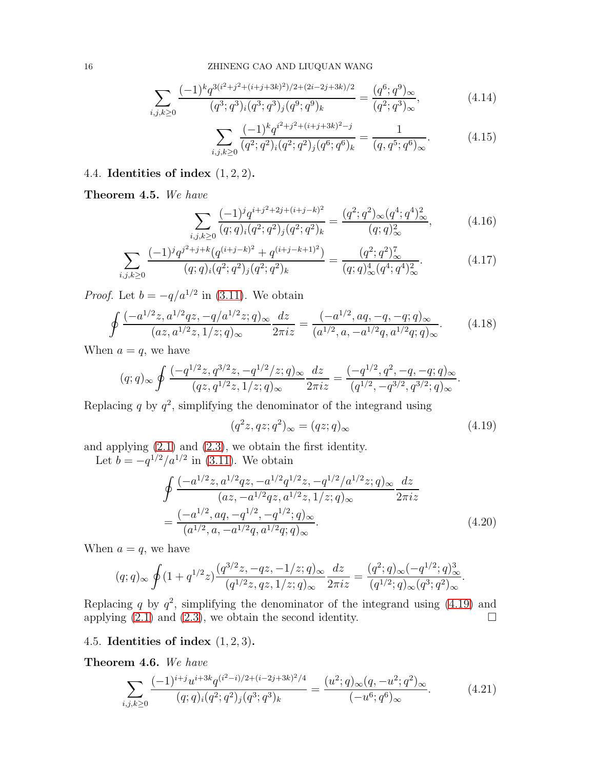$$
\sum_{i,j,k\geq 0} \frac{(-1)^k q^{3(i^2+j^2+(i+j+3k)^2)/2+(2i-2j+3k)/2}}{(q^3;q^3)_i (q^3;q^3)_j (q^9;q^9)_k} = \frac{(q^6;q^9)_{\infty}}{(q^2;q^3)_{\infty}},\tag{4.14}
$$

$$
\sum_{i,j,k\geq 0} \frac{(-1)^k q^{i^2+j^2+(i+j+3k)^2-j}}{(q^2;q^2)_i (q^2;q^2)_j (q^6;q^6)_k} = \frac{1}{(q,q^5;q^6)_{\infty}}.
$$
 (4.15)

## 4.4. Identities of index  $(1, 2, 2)$ .

Theorem 4.5. We have

$$
\sum_{i,j,k\geq 0} \frac{(-1)^j q^{i+j^2+2j+(i+j-k)^2}}{(q;q)_i (q^2;q^2)_j (q^2;q^2)_k} = \frac{(q^2;q^2)_{\infty} (q^4;q^4)_{\infty}^2}{(q;q)_{\infty}^2},\tag{4.16}
$$

$$
\sum_{i,j,k\geq 0} \frac{(-1)^j q^{j^2+j+k} (q^{(i+j-k)^2} + q^{(i+j-k+1)^2})}{(q;q)_i (q^2;q^2)_j (q^2;q^2)_k} = \frac{(q^2;q^2)_{\infty}^7}{(q;q)_{\infty}^4 (q^4;q^4)_{\infty}^2}.
$$
\n(4.17)

*Proof.* Let  $b = -q/a^{1/2}$  in [\(3.11\)](#page-7-0). We obtain

$$
\oint \frac{(-a^{1/2}z, a^{1/2}qz, -q/a^{1/2}z; q)_{\infty}}{(az, a^{1/2}z, 1/z; q)_{\infty}} \frac{dz}{2\pi i z} = \frac{(-a^{1/2}, aq, -q, -q; q)_{\infty}}{(a^{1/2}, a, -a^{1/2}q, a^{1/2}q; q)_{\infty}}.
$$
(4.18)

When  $a = q$ , we have

$$
(q;q)_{\infty} \oint \frac{(-q^{1/2}z, q^{3/2}z, -q^{1/2}/z; q)_{\infty}}{(qz, q^{1/2}z, 1/z; q)_{\infty}} \frac{dz}{2\pi i z} = \frac{(-q^{1/2}, q^2, -q, -q; q)_{\infty}}{(q^{1/2}, -q^{3/2}, q^{3/2}; q)_{\infty}}.
$$

Replacing q by  $q^2$ , simplifying the denominator of the integrand using

<span id="page-15-1"></span>
$$
(q^2z, qz; q^2)_{\infty} = (qz; q)_{\infty}
$$
\n
$$
(4.19)
$$

and applying [\(2.1\)](#page-4-1) and [\(2.3\)](#page-4-2), we obtain the first identity.

Let  $b = -q^{1/2}/a^{1/2}$  in [\(3.11\)](#page-7-0). We obtain

$$
\oint \frac{(-a^{1/2}z, a^{1/2}qz, -a^{1/2}q^{1/2}z, -q^{1/2}/a^{1/2}z; q)_{\infty}}{(az, -a^{1/2}qz, a^{1/2}z, 1/z; q)_{\infty}} \frac{dz}{2\pi iz}
$$
\n
$$
= \frac{(-a^{1/2}, aq, -q^{1/2}, -q^{1/2}; q)_{\infty}}{(a^{1/2}, a, -a^{1/2}q, a^{1/2}q; q)_{\infty}}.
$$
\n(4.20)

When  $a = q$ , we have

$$
(q;q)_{\infty} \oint (1+q^{1/2}z) \frac{(q^{3/2}z, -qz, -1/z;q)_{\infty}}{(q^{1/2}z, qz, 1/z;q)_{\infty}} \frac{dz}{2\pi iz} = \frac{(q^2;q)_{\infty}(-q^{1/2};q)_{\infty}^3}{(q^{1/2};q)_{\infty}(q^3;q^2)_{\infty}}.
$$

Replacing q by  $q^2$ , simplifying the denominator of the integrand using [\(4.19\)](#page-15-1) and applying  $(2.1)$  and  $(2.3)$ , we obtain the second identity.

## 4.5. Identities of index  $(1, 2, 3)$ .

<span id="page-15-0"></span>Theorem 4.6. We have

$$
\sum_{i,j,k\geq 0} \frac{(-1)^{i+j} u^{i+3k} q^{(i^2-i)/2+(i-2j+3k)^2/4}}{(q;q)_i (q^2;q^2)_j (q^3;q^3)_k} = \frac{(u^2;q)_\infty (q,-u^2;q^2)_\infty}{(-u^6;q^6)_\infty}.
$$
(4.21)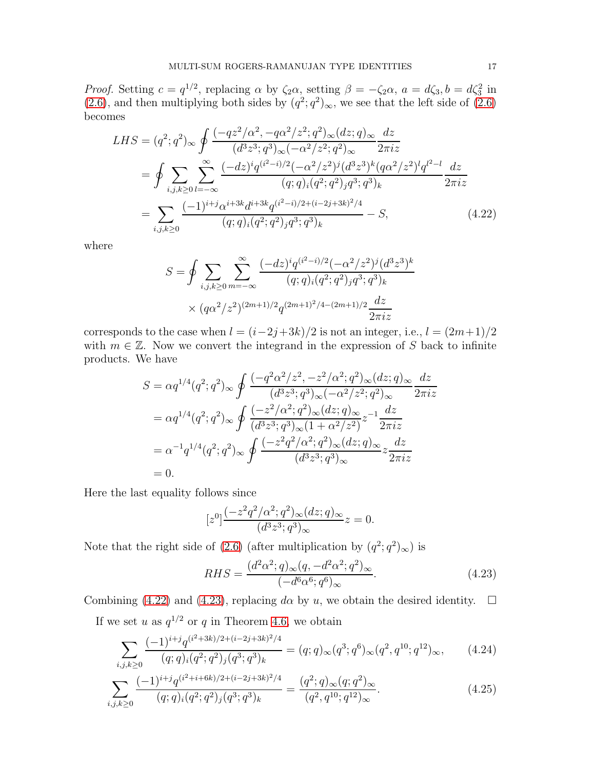*Proof.* Setting  $c = q^{1/2}$ , replacing  $\alpha$  by  $\zeta_2 \alpha$ , setting  $\beta = -\zeta_2 \alpha$ ,  $a = d\zeta_3$ ,  $b = d\zeta_3^2$  in [\(2.6\)](#page-5-1), and then multiplying both sides by  $(q^2; q^2)_{\infty}$ , we see that the left side of [\(2.6\)](#page-5-1) becomes

$$
LHS = (q^2; q^2)_{\infty} \oint \frac{(-qz^2/\alpha^2, -q\alpha^2/z^2; q^2)_{\infty}(dz; q)_{\infty}}{(d^3z^3; q^3)_{\infty}(-\alpha^2/z^2; q^2)_{\infty}} \frac{dz}{2\pi iz}
$$
  
\n
$$
= \oint \sum_{i,j,k\geq 0} \sum_{l=-\infty}^{\infty} \frac{(-dz)^i q^{(i^2-i)/2} (-\alpha^2/z^2)^j (d^3z^3)^k (q\alpha^2/z^2)^l q^{l^2-l}}{(q;q)_i (q^2;q^2)_j q^3;q^3)_k} \frac{dz}{2\pi iz}
$$
  
\n
$$
= \sum_{i,j,k\geq 0} \frac{(-1)^{i+j} \alpha^{i+3k} d^{i+3k} q^{(i^2-i)/2+(i-2j+3k)^2/4}}{(q;q)_i (q^2;q^2)_j q^3;q^3)_k} - S,
$$
 (4.22)

where

<span id="page-16-0"></span>
$$
S = \oint \sum_{i,j,k \ge 0} \sum_{m=-\infty}^{\infty} \frac{(-dz)^i q^{(i^2 - i)/2} (-\alpha^2/z^2)^j (d^3 z^3)^k}{(q;q)_i (q^2;q^2)_j q^3;q^3)_k}
$$

$$
\times (q\alpha^2/z^2)^{(2m+1)/2} q^{(2m+1)^2/4 - (2m+1)/2} \frac{dz}{2\pi iz}
$$

corresponds to the case when  $l = (i-2j+3k)/2$  is not an integer, i.e.,  $l = (2m+1)/2$ with  $m \in \mathbb{Z}$ . Now we convert the integrand in the expression of S back to infinite products. We have

$$
S = \alpha q^{1/4} (q^2; q^2)_{\infty} \oint \frac{(-q^2 \alpha^2 / z^2, -z^2 / \alpha^2; q^2)_{\infty} (dz; q)_{\infty}}{(d^3 z^3; q^3)_{\infty} (-\alpha^2 / z^2; q^2)_{\infty}} \frac{dz}{2\pi i z}
$$
  
=  $\alpha q^{1/4} (q^2; q^2)_{\infty} \oint \frac{(-z^2 / \alpha^2; q^2)_{\infty} (dz; q)_{\infty}}{(d^3 z^3; q^3)_{\infty} (1 + \alpha^2 / z^2)} z^{-1} \frac{dz}{2\pi i z}$   
=  $\alpha^{-1} q^{1/4} (q^2; q^2)_{\infty} \oint \frac{(-z^2 q^2 / \alpha^2; q^2)_{\infty} (dz; q)_{\infty}}{(d^3 z^3; q^3)_{\infty}} z \frac{dz}{2\pi i z}$   
= 0.

Here the last equality follows since

$$
[z^{0}] \frac{(-z^{2}q^{2}/\alpha^{2};q^{2})_{\infty}(dz;q)_{\infty}}{(d^{3}z^{3};q^{3})_{\infty}} z = 0.
$$

Note that the right side of [\(2.6\)](#page-5-1) (after multiplication by  $(q^2; q^2)_{\infty}$ ) is

<span id="page-16-1"></span>
$$
RHS = \frac{(d^2\alpha^2; q)_{\infty}(q, -d^2\alpha^2; q^2)_{\infty}}{(-d^6\alpha^6; q^6)_{\infty}}.
$$
\n(4.23)

Combining [\(4.22\)](#page-16-0) and [\(4.23\)](#page-16-1), replacing  $d\alpha$  by u, we obtain the desired identity.  $\Box$ 

If we set u as  $q^{1/2}$  or q in Theorem [4.6,](#page-15-0) we obtain

$$
\sum_{i,j,k\geq 0} \frac{(-1)^{i+j} q^{(i^2+3k)/2+(i-2j+3k)^2/4}}{(q;q)_i (q^2;q^2)_j (q^3;q^3)_k} = (q;q)_{\infty} (q^3;q^6)_{\infty} (q^2,q^{10};q^{12})_{\infty},\qquad(4.24)
$$

$$
\sum_{i,j,k\geq 0} \frac{(-1)^{i+j} q^{(i^2+i+6k)/2+(i-2j+3k)^2/4}}{(q;q)_i (q^2;q^2)_j (q^3;q^3)_k} = \frac{(q^2;q)_{\infty} (q;q^2)_{\infty}}{(q^2,q^{10};q^{12})_{\infty}}.
$$
\n(4.25)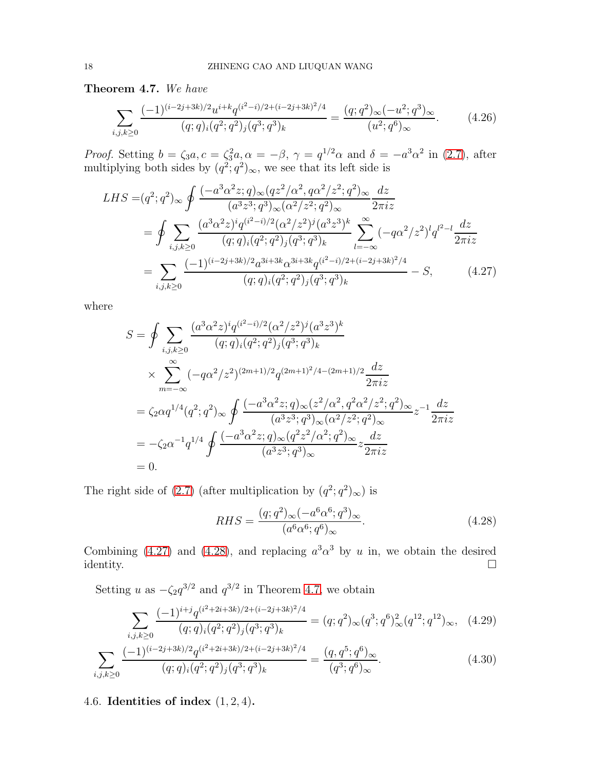<span id="page-17-0"></span>Theorem 4.7. We have

$$
\sum_{i,j,k\geq 0} \frac{(-1)^{(i-2j+3k)/2} u^{i+k} q^{(i^2-i)/2+(i-2j+3k)^2/4}}{(q;q)_i (q^2;q^2)_j (q^3;q^3)_k} = \frac{(q;q^2)_{\infty} (-u^2;q^3)_{\infty}}{(u^2;q^6)_{\infty}}.\tag{4.26}
$$

*Proof.* Setting  $b = \zeta_3 a, c = \zeta_3^2 a, \alpha = -\beta, \gamma = q^{1/2} \alpha$  and  $\delta = -a^3 \alpha^2$  in [\(2.7\)](#page-5-2), after multiplying both sides by  $(q^2; q^2)_{\infty}$ , we see that its left side is

$$
LHS = (q^2; q^2)_{\infty} \oint \frac{(-a^3 \alpha^2 z; q)_{\infty} (qz^2/\alpha^2, q\alpha^2/z^2; q^2)_{\infty}}{(a^3 z^3; q^3)_{\infty} (\alpha^2/z^2; q^2)_{\infty}} \frac{dz}{2\pi i z}
$$
  
\n
$$
= \oint \sum_{i,j,k\geq 0} \frac{(a^3 \alpha^2 z)^i q^{(i^2-i)/2} (\alpha^2/z^2)^j (a^3 z^3)^k}{(q; q)_i (q^2; q^2)_j (q^3; q^3)_k} \sum_{l=-\infty}^{\infty} (-q\alpha^2/z^2)^l q^{l^2-l} \frac{dz}{2\pi i z}
$$
  
\n
$$
= \sum_{i,j,k\geq 0} \frac{(-1)^{(i-2j+3k)/2} a^{3i+3k} \alpha^{3i+3k} q^{(i^2-i)/2+(i-2j+3k)^2/4}}{(q; q)_i (q^2; q^2)_j (q^3; q^3)_k} - S,
$$
 (4.27)

where

<span id="page-17-1"></span>
$$
S = \oint \sum_{i,j,k \ge 0} \frac{(a^3 \alpha^2 z)^i q^{(i^2 - i)/2} (\alpha^2 / z^2)^j (a^3 z^3)^k}{(q;q)_i (q^2;q^2)_j (q^3;q^3)_k}
$$
  
\n
$$
\times \sum_{m=-\infty}^{\infty} (-q \alpha^2 / z^2)^{(2m+1)/2} q^{(2m+1)^2/4 - (2m+1)/2} \frac{dz}{2\pi i z}
$$
  
\n
$$
= \zeta_2 \alpha q^{1/4} (q^2;q^2)_{\infty} \oint \frac{(-a^3 \alpha^2 z;q)_{\infty} (z^2/\alpha^2, q^2 \alpha^2 / z^2;q^2)_{\infty}}{(a^3 z^3;q^3)_{\infty} (\alpha^2 / z^2;q^2)_{\infty}} z^{-1} \frac{dz}{2\pi i z}
$$
  
\n
$$
= -\zeta_2 \alpha^{-1} q^{1/4} \oint \frac{(-a^3 \alpha^2 z;q)_{\infty} (q^2 z^2/\alpha^2;q^2)_{\infty}}{(a^3 z^3;q^3)_{\infty}} z \frac{dz}{2\pi i z}
$$
  
\n= 0.

The right side of [\(2.7\)](#page-5-2) (after multiplication by  $(q^2; q^2)_{\infty}$ ) is

<span id="page-17-2"></span>
$$
RHS = \frac{(q; q^2)_{\infty}(-a^6 \alpha^6; q^3)_{\infty}}{(a^6 \alpha^6; q^6)_{\infty}}.
$$
\n(4.28)

Combining [\(4.27\)](#page-17-1) and [\(4.28\)](#page-17-2), and replacing  $a^3 \alpha^3$  by u in, we obtain the desired  $\Box$ identity.  $\Box$ 

Setting u as  $-\zeta_2 q^{3/2}$  and  $q^{3/2}$  in Theorem [4.7,](#page-17-0) we obtain

$$
\sum_{i,j,k\geq 0} \frac{(-1)^{i+j} q^{(i^2+2i+3k)/2+(i-2j+3k)^2/4}}{(q;q)_i (q^2;q^2)_j (q^3;q^3)_k} = (q;q^2)_{\infty} (q^3;q^6)_{\infty}^2 (q^{12};q^{12})_{\infty}, \quad (4.29)
$$

$$
\sum_{i,j,k\geq 0} \frac{(-1)^{(i-2j+3k)/2} q^{(i^2+2i+3k)/2+(i-2j+3k)^2/4}}{(q;q)_i (q^2;q^2)_j (q^3;q^3)_k} = \frac{(q,q^5;q^6)_{\infty}}{(q^3;q^6)_{\infty}}.\tag{4.30}
$$

# 4.6. Identities of index  $(1, 2, 4)$ .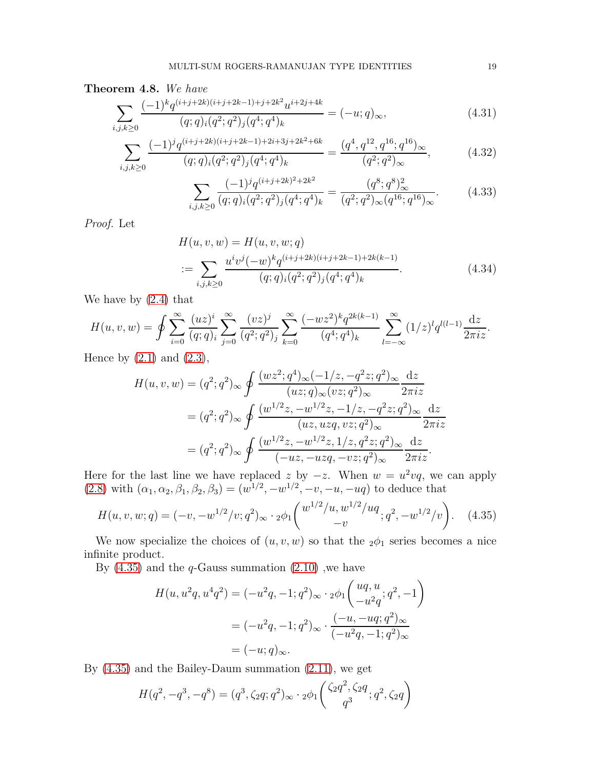#### Theorem 4.8. We have

$$
\sum_{i,j,k\geq 0} \frac{(-1)^k q^{(i+j+2k)(i+j+2k-1)+j+2k^2} u^{i+2j+4k}}{(q;q)_i (q^2;q^2)_j (q^4;q^4)_k} = (-u;q)_{\infty},\tag{4.31}
$$

$$
\sum_{i,j,k\geq 0} \frac{(-1)^j q^{(i+j+2k)(i+j+2k-1)+2i+3j+2k^2+6k}}{(q;q)_i (q^2;q^2)_j (q^4;q^4)_k} = \frac{(q^4,q^{12},q^{16};q^{16})_{\infty}}{(q^2;q^2)_{\infty}},
$$
(4.32)

$$
\sum_{i,j,k\geq 0} \frac{(-1)^j q^{(i+j+2k)^2+2k^2}}{(q;q)_i (q^2;q^2)_j (q^4;q^4)_k} = \frac{(q^8;q^8)_{\infty}^2}{(q^2;q^2)_{\infty} (q^{16};q^{16})_{\infty}}.
$$
(4.33)

Proof. Let

$$
H(u, v, w) = H(u, v, w; q)
$$
  
:= 
$$
\sum_{i,j,k \ge 0} \frac{u^i v^j (-w)^k q^{(i+j+2k)(i+j+2k-1)+2k(k-1)}}{(q;q)_i (q^2;q^2)_j (q^4;q^4)_k}.
$$
 (4.34)

We have by [\(2.4\)](#page-4-4) that

$$
H(u, v, w) = \oint \sum_{i=0}^{\infty} \frac{(uz)^i}{(q;q)_i} \sum_{j=0}^{\infty} \frac{(vz)^j}{(q^2;q^2)_j} \sum_{k=0}^{\infty} \frac{(-wz^2)^k q^{2k(k-1)}}{(q^4;q^4)_k} \sum_{l=-\infty}^{\infty} (1/z)^l q^{l(l-1)} \frac{dz}{2\pi iz}.
$$

Hence by  $(2.1)$  and  $(2.3)$ ,

$$
H(u, v, w) = (q^2; q^2)_{\infty} \oint \frac{(wz^2; q^4)_{\infty}(-1/z, -q^2z; q^2)_{\infty}}{(uz; q)_{\infty}(vz; q^2)_{\infty}} \frac{dz}{2\pi iz}
$$
  

$$
= (q^2; q^2)_{\infty} \oint \frac{(w^{1/2}z, -w^{1/2}z, -1/z, -q^2z; q^2)_{\infty}}{(uz, uzq, vz; q^2)_{\infty}} \frac{dz}{2\pi iz}
$$
  

$$
= (q^2; q^2)_{\infty} \oint \frac{(w^{1/2}z, -w^{1/2}z, 1/z, q^2z; q^2)_{\infty}}{(-uz, -uzq, -vz; q^2)_{\infty}} \frac{dz}{2\pi iz}.
$$

Here for the last line we have replaced z by  $-z$ . When  $w = u^2 v q$ , we can apply  $(2.8)$  with  $(\alpha_1, \alpha_2, \beta_1, \beta_2, \beta_3) = (w^{1/2}, -w^{1/2}, -v, -u, -uq)$  to deduce that

$$
H(u, v, w; q) = (-v, -w^{1/2}/v; q^2)_{\infty} \cdot 2\phi_1 \begin{pmatrix} w^{1/2}/u, w^{1/2}/uq \\ -v \end{pmatrix}; q^2, -w^{1/2}/v \begin{pmatrix} 4.35 \end{pmatrix}
$$

We now specialize the choices of  $(u, v, w)$  so that the  $2\phi_1$  series becomes a nice infinite product.

By  $(4.35)$  and the q-Gauss summation  $(2.10)$ , we have

<span id="page-18-0"></span>
$$
H(u, u^2q, u^4q^2) = (-u^2q, -1; q^2)_{\infty} \cdot {}_2\phi_1 \left( \begin{array}{c} uq, u \\ -u^2q \end{array}; q^2, -1 \right)
$$
  
=  $(-u^2q, -1; q^2)_{\infty} \cdot \frac{(-u, -uq; q^2)_{\infty}}{(-u^2q, -1; q^2)_{\infty}}$   
=  $(-u; q)_{\infty}$ .

By [\(4.35\)](#page-18-0) and the Bailey-Daum summation [\(2.11\)](#page-5-7), we get

$$
H(q^2, -q^3, -q^8) = (q^3, \zeta_2 q; q^2)_{\infty} \cdot {}_{2}\phi_1 \left( \frac{\zeta_2 q^2, \zeta_2 q}{q^3}; q^2, \zeta_2 q \right)
$$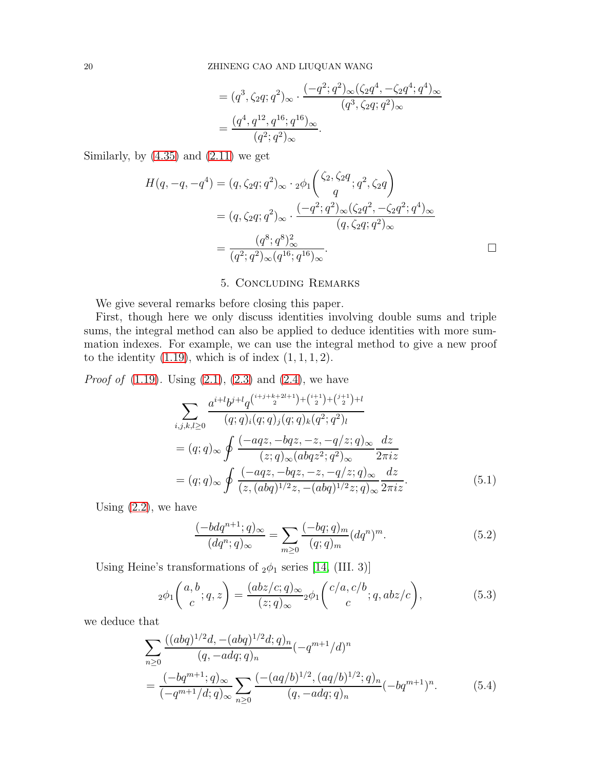$$
= (q^3, \zeta_2 q; q^2)_{\infty} \cdot \frac{(-q^2; q^2)_{\infty}(\zeta_2 q^4, -\zeta_2 q^4; q^4)_{\infty}}{(q^3, \zeta_2 q; q^2)_{\infty}}
$$
  
= 
$$
\frac{(q^4, q^{12}, q^{16}; q^{16})_{\infty}}{(q^2; q^2)_{\infty}}.
$$

Similarly, by  $(4.35)$  and  $(2.11)$  we get

$$
H(q, -q, -q4) = (q, \zeta_2 q; q2)_{\infty} \cdot {}_{2}\phi_1 \left( \frac{\zeta_2, \zeta_2 q}{q}; q^2, \zeta_2 q \right)
$$
  

$$
= (q, \zeta_2 q; q2)_{\infty} \cdot \frac{(-q^2; q^2)_{\infty} (\zeta_2 q^2, -\zeta_2 q^2; q^4)_{\infty}}{(q, \zeta_2 q; q^2)_{\infty}}
$$
  

$$
= \frac{(q^8; q^8)_{\infty}^2}{(q^2; q^2)_{\infty} (q^{16}; q^{16})_{\infty}}.
$$

## 5. Concluding Remarks

<span id="page-19-0"></span>We give several remarks before closing this paper.

First, though here we only discuss identities involving double sums and triple sums, the integral method can also be applied to deduce identities with more summation indexes. For example, we can use the integral method to give a new proof to the identity  $(1.19)$ , which is of index  $(1, 1, 1, 2)$ .

*Proof of*  $(1.19)$ . Using  $(2.1)$ ,  $(2.3)$  and  $(2.4)$ , we have

$$
\sum_{i,j,k,l\geq 0} \frac{a^{i+l}b^{j+l}q^{\binom{i+j+k+2l+1}{2}+\binom{i+1}{2}+\binom{j+1}{2}+l}}{(q;q)_i(q;q)_j(q;q)_k(q^2;q^2)_l}
$$
\n
$$
= (q;q)_{\infty} \oint \frac{(-aqz, -bqz, -z, -q/z; q)_{\infty}}{(z;q)_{\infty}(abqz^2;q^2)_{\infty}} \frac{dz}{2\pi iz}
$$
\n
$$
= (q;q)_{\infty} \oint \frac{(-aqz, -bqz, -z, -q/z; q)_{\infty}}{(z, (abq)^{1/2}z, -(abq)^{1/2}z; q)_{\infty}} \frac{dz}{2\pi iz}.
$$
\n(5.1)

Using  $(2.2)$ , we have

<span id="page-19-3"></span><span id="page-19-2"></span><span id="page-19-1"></span>
$$
\frac{(-bdq^{n+1};q)_{\infty}}{(dq^n;q)_{\infty}} = \sum_{m\geq 0} \frac{(-bq;q)_m}{(q;q)_m} (dq^n)^m.
$$
 (5.2)

Using Heine's transformations of  $_2\phi_1$  series [\[14,](#page-22-18) (III. 3)]

$$
{}_2\phi_1\left(\begin{array}{c} a,b\\c\end{array};q,z\right) = \frac{(abz/c;q)_\infty}{(z;q)_\infty}{}_2\phi_1\left(\begin{array}{c} c/a,c/b\\c\end{array};q,abz/c\right),\tag{5.3}
$$

we deduce that

$$
\sum_{n\geq 0} \frac{((abq)^{1/2}d, -(abq)^{1/2}d;q)_n}{(q, -adq;q)_n} (-q^{m+1}/d)^n
$$
  
= 
$$
\frac{(-bq^{m+1}; q)_{\infty}}{(-q^{m+1}/d;q)_{\infty}} \sum_{n\geq 0} \frac{(-(aq/b)^{1/2}, (aq/b)^{1/2}; q)_n}{(q, -adq;q)_n} (-bq^{m+1})^n.
$$
 (5.4)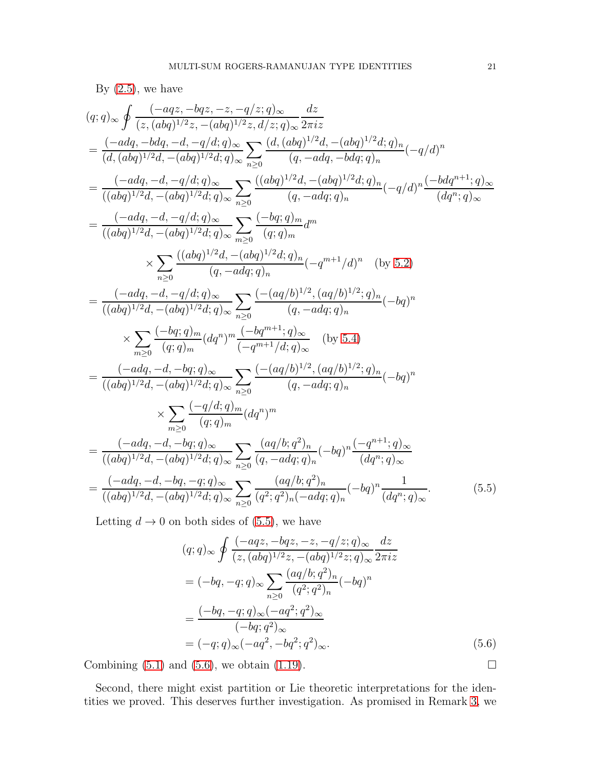By 
$$
(2.5)
$$
, we have

$$
(q;q)_{\infty} \oint \frac{(-aqz, -bqz, -z, -q/z;q)_{\infty}}{(z, (abq)^{1/2}z, -(abq)^{1/2}z, d/z;q)_{\infty}} \frac{dz}{2\pi i z}
$$
\n
$$
= \frac{(-adq, -bdq, -d, -q/d;q)_{\infty}}{(d, (abq)^{1/2}d, -(abq)^{1/2}d;q)_{\infty}} \sum_{n\geq 0} \frac{(d, (abq)^{1/2}d, -(abq)^{1/2}d;q)_n}{(q, -adq, -bdq;q)_n} (-q/d)^n
$$
\n
$$
= \frac{(-adq, -d, -q/d;q)_{\infty}}{((abq)^{1/2}d, -(abq)^{1/2}d;q)_{\infty}} \sum_{n\geq 0} \frac{((abq)^{1/2}d, -(abq)^{1/2}d;q)_n}{(q, -adq;q)_n} (-q/d)^n \frac{(-bdq^{n+1};q)_{\infty}}{(dq^n;q)_{\infty}}
$$
\n
$$
= \frac{(-adq, -d, -q/d;q)_{\infty}}{((abq)^{1/2}d, -(abq)^{1/2}d;q)_{\infty}} \sum_{n\geq 0} \frac{(-bq;q)_m}{(q, -adq;q)_n} d^m
$$
\n
$$
\times \sum_{n\geq 0} \frac{((abq)^{1/2}d, -(abq)^{1/2}d;q)_n}{(q, -adq;q)_n} (-q^{m+1}/d)^n \quad \text{(by 5.2)}
$$
\n
$$
= \frac{(-adq, -d, -q/d;q)_{\infty}}{((abq)^{1/2}d, -(abq)^{1/2}d;q)_{\infty}} \sum_{n\geq 0} \frac{(-(aq/b)^{1/2}, (aq/b)^{1/2};q)_n}{(q, -adq;q)_n} (-bq)^n
$$
\n
$$
\times \sum_{m\geq 0} \frac{(-bq;q)_m}{(q;q)_m} (dq^n)^m \frac{(-bq^{m+1};q)_{\infty}}{(q, -adq;q)_n} \quad \text{(by 5.4)}
$$
\n
$$
= \frac{(-adq, -d, -bq;q)_{\infty}}{((abq)^{1/2}d, -(abq)^{1/2}
$$

Letting  $d \to 0$  on both sides of [\(5.5\)](#page-20-0), we have

$$
(q;q)_{\infty} \oint \frac{(-aqz, -bqz, -z, -q/z; q)_{\infty}}{(z, (abq)^{1/2}z, -(abq)^{1/2}z; q)_{\infty}} \frac{dz}{2\pi iz}
$$
  
=  $(-bq, -q; q)_{\infty} \sum_{n\geq 0} \frac{(aq/b; q^2)_n}{(q^2; q^2)_n} (-bq)^n$   
=  $\frac{(-bq, -q; q)_{\infty}(-aq^2; q^2)_{\infty}}{(-bq; q^2)_{\infty}}$   
=  $(-q; q)_{\infty}(-aq^2, -bq^2; q^2)_{\infty}.$  (5.6)

Combining  $(5.1)$  and  $(5.6)$ , we obtain  $(1.19)$ .

Second, there might exist partition or Lie theoretic interpretations for the identities we proved. This deserves further investigation. As promised in Remark [3,](#page-13-1) we

<span id="page-20-1"></span><span id="page-20-0"></span>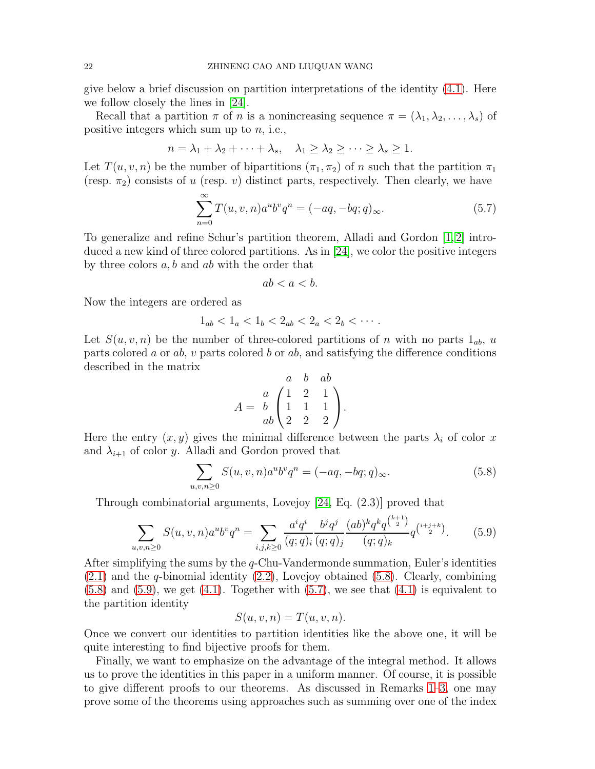give below a brief discussion on partition interpretations of the identity [\(4.1\)](#page-12-3). Here we follow closely the lines in [\[24\]](#page-23-9).

Recall that a partition  $\pi$  of n is a nonincreasing sequence  $\pi = (\lambda_1, \lambda_2, \ldots, \lambda_s)$  of positive integers which sum up to  $n$ , i.e.,

$$
n = \lambda_1 + \lambda_2 + \dots + \lambda_s, \quad \lambda_1 \ge \lambda_2 \ge \dots \ge \lambda_s \ge 1.
$$

Let  $T(u, v, n)$  be the number of bipartitions  $(\pi_1, \pi_2)$  of n such that the partition  $\pi_1$ (resp.  $\pi_2$ ) consists of u (resp. v) distinct parts, respectively. Then clearly, we have

$$
\sum_{n=0}^{\infty} T(u, v, n) a^u b^v q^n = (-aq, -bq; q)_{\infty}.
$$
\n(5.7)

To generalize and refine Schur's partition theorem, Alladi and Gordon [\[1,](#page-22-19) [2\]](#page-22-20) introduced a new kind of three colored partitions. As in [\[24\]](#page-23-9), we color the positive integers by three colors  $a, b$  and  $ab$  with the order that

<span id="page-21-2"></span>
$$
ab < a < b.
$$

Now the integers are ordered as

$$
1_{ab} < 1_a < 1_b < 2_{ab} < 2_a < 2_b < \cdots
$$

Let  $S(u, v, n)$  be the number of three-colored partitions of n with no parts  $1_{ab}$ , u parts colored a or ab, v parts colored b or ab, and satisfying the difference conditions described in the matrix

<span id="page-21-0"></span>
$$
A = \begin{pmatrix} a & b & ab \\ b & 1 & 2 & 1 \\ ab & 2 & 2 & 2 \end{pmatrix}.
$$

Here the entry  $(x, y)$  gives the minimal difference between the parts  $\lambda_i$  of color x and  $\lambda_{i+1}$  of color y. Alladi and Gordon proved that

$$
\sum_{u,v,n\geq 0} S(u,v,n)a^u b^v q^n = (-aq, -bq;q)_{\infty}.
$$
\n(5.8)

Through combinatorial arguments, Lovejoy [\[24,](#page-23-9) Eq. (2.3)] proved that

$$
\sum_{u,v,n\geq 0} S(u,v,n)a^u b^v q^n = \sum_{i,j,k\geq 0} \frac{a^i q^i}{(q;q)_i} \frac{b^j q^j}{(q;q)_j} \frac{(ab)^k q^k q^{\binom{k+1}{2}}}{(q;q)_k} q^{\binom{i+j+k}{2}}.
$$
(5.9)

After simplifying the sums by the  $q$ -Chu-Vandermonde summation, Euler's identities  $(2.1)$  and the *q*-binomial identity  $(2.2)$ , Lovejoy obtained  $(5.8)$ . Clearly, combining  $(5.8)$  and  $(5.9)$ , we get  $(4.1)$ . Together with  $(5.7)$ , we see that  $(4.1)$  is equivalent to the partition identity

<span id="page-21-1"></span>
$$
S(u, v, n) = T(u, v, n).
$$

Once we convert our identities to partition identities like the above one, it will be quite interesting to find bijective proofs for them.

Finally, we want to emphasize on the advantage of the integral method. It allows us to prove the identities in this paper in a uniform manner. Of course, it is possible to give different proofs to our theorems. As discussed in Remarks [1–](#page-8-1)[3,](#page-13-1) one may prove some of the theorems using approaches such as summing over one of the index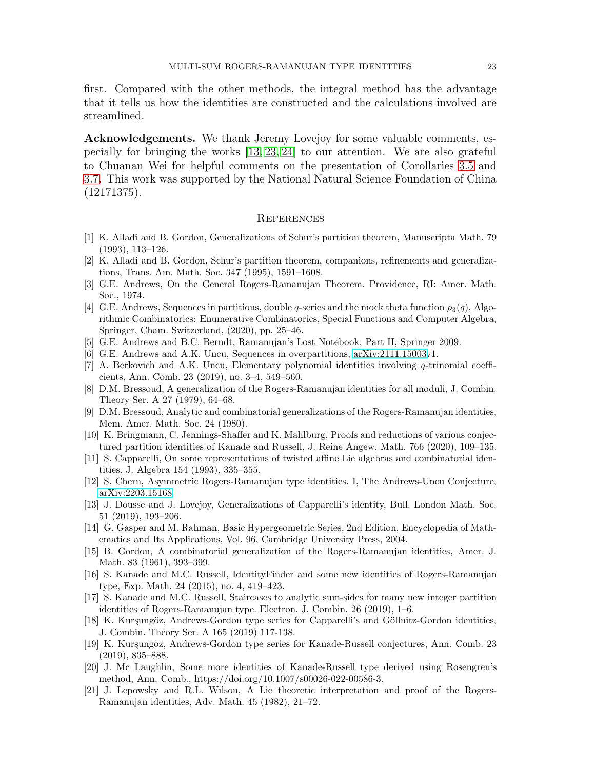first. Compared with the other methods, the integral method has the advantage that it tells us how the identities are constructed and the calculations involved are streamlined.

Acknowledgements. We thank Jeremy Lovejoy for some valuable comments, especially for bringing the works [\[13,](#page-22-17) [23,](#page-23-8) [24\]](#page-23-9) to our attention. We are also grateful to Chuanan Wei for helpful comments on the presentation of Corollaries [3.5](#page-9-3) and [3.7.](#page-10-0) This work was supported by the National Natural Science Foundation of China (12171375).

#### **REFERENCES**

- <span id="page-22-20"></span><span id="page-22-19"></span>[1] K. Alladi and B. Gordon, Generalizations of Schur's partition theorem, Manuscripta Math. 79 (1993), 113–126.
- <span id="page-22-0"></span>[2] K. Alladi and B. Gordon, Schur's partition theorem, companions, refinements and generalizations, Trans. Am. Math. Soc. 347 (1995), 1591–1608.
- [3] G.E. Andrews, On the General Rogers-Ramanujan Theorem. Providence, RI: Amer. Math. Soc., 1974.
- <span id="page-22-11"></span>[4] G.E. Andrews, Sequences in partitions, double q-series and the mock theta function  $\rho_3(q)$ , Algorithmic Combinatorics: Enumerative Combinatorics, Special Functions and Computer Algebra, Springer, Cham. Switzerland, (2020), pp. 25–46.
- <span id="page-22-14"></span><span id="page-22-4"></span>[5] G.E. Andrews and B.C. Berndt, Ramanujan's Lost Notebook, Part II, Springer 2009.
- <span id="page-22-13"></span>[6] G.E. Andrews and A.K. Uncu, Sequences in overpartitions, [arXiv:2111.15003v](http://arxiv.org/abs/2111.15003)1.
- [7] A. Berkovich and A.K. Uncu, Elementary polynomial identities involving q-trinomial coefficients, Ann. Comb. 23 (2019), no. 3–4, 549–560.
- <span id="page-22-12"></span>[8] D.M. Bressoud, A generalization of the Rogers-Ramanujan identities for all moduli, J. Combin. Theory Ser. A 27 (1979), 64–68.
- <span id="page-22-2"></span>[9] D.M. Bressoud, Analytic and combinatorial generalizations of the Rogers-Ramanujan identities, Mem. Amer. Math. Soc. 24 (1980).
- <span id="page-22-6"></span>[10] K. Bringmann, C. Jennings-Shaffer and K. Mahlburg, Proofs and reductions of various conjectured partition identities of Kanade and Russell, J. Reine Angew. Math. 766 (2020), 109–135.
- <span id="page-22-7"></span>[11] S. Capparelli, On some representations of twisted affine Lie algebras and combinatorial identities. J. Algebra 154 (1993), 335–355.
- <span id="page-22-17"></span><span id="page-22-15"></span>[12] S. Chern, Asymmetric Rogers-Ramanujan type identities. I, The Andrews-Uncu Conjecture, [arXiv:2203.15168.](http://arxiv.org/abs/2203.15168)
- [13] J. Dousse and J. Lovejoy, Generalizations of Capparelli's identity, Bull. London Math. Soc. 51 (2019), 193–206.
- <span id="page-22-18"></span>[14] G. Gasper and M. Rahman, Basic Hypergeometric Series, 2nd Edition, Encyclopedia of Mathematics and Its Applications, Vol. 96, Cambridge University Press, 2004.
- <span id="page-22-1"></span>[15] B. Gordon, A combinatorial generalization of the Rogers-Ramanujan identities, Amer. J. Math. 83 (1961), 393–399.
- <span id="page-22-10"></span>[16] S. Kanade and M.C. Russell, IdentityFinder and some new identities of Rogers-Ramanujan type, Exp. Math. 24 (2015), no. 4, 419–423.
- <span id="page-22-5"></span>[17] S. Kanade and M.C. Russell, Staircases to analytic sum-sides for many new integer partition identities of Rogers-Ramanujan type. Electron. J. Combin. 26 (2019), 1–6.
- <span id="page-22-8"></span>[18] K. Kurşungöz, Andrews-Gordon type series for Capparelli's and Göllnitz-Gordon identities, J. Combin. Theory Ser. A 165 (2019) 117-138.
- <span id="page-22-9"></span>[19] K. Kurşungöz, Andrews-Gordon type series for Kanade-Russell conjectures, Ann. Comb. 23 (2019), 835–888.
- <span id="page-22-16"></span>[20] J. Mc Laughlin, Some more identities of Kanade-Russell type derived using Rosengren's method, Ann. Comb., https://doi.org/10.1007/s00026-022-00586-3.
- <span id="page-22-3"></span>[21] J. Lepowsky and R.L. Wilson, A Lie theoretic interpretation and proof of the Rogers-Ramanujan identities, Adv. Math. 45 (1982), 21–72.